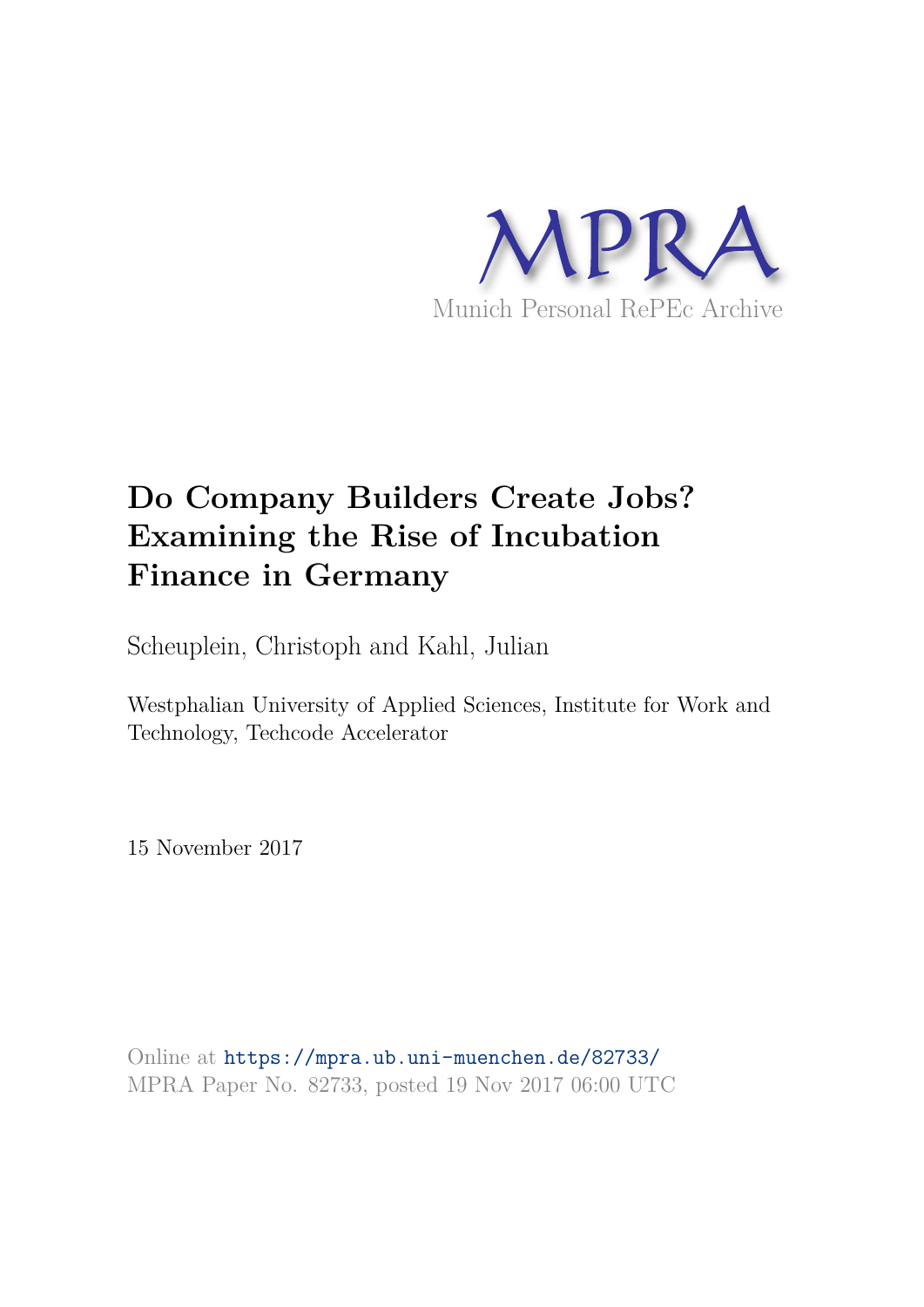

# **Do Company Builders Create Jobs? Examining the Rise of Incubation Finance in Germany**

Scheuplein, Christoph and Kahl, Julian

Westphalian University of Applied Sciences, Institute for Work and Technology, Techcode Accelerator

15 November 2017

Online at https://mpra.ub.uni-muenchen.de/82733/ MPRA Paper No. 82733, posted 19 Nov 2017 06:00 UTC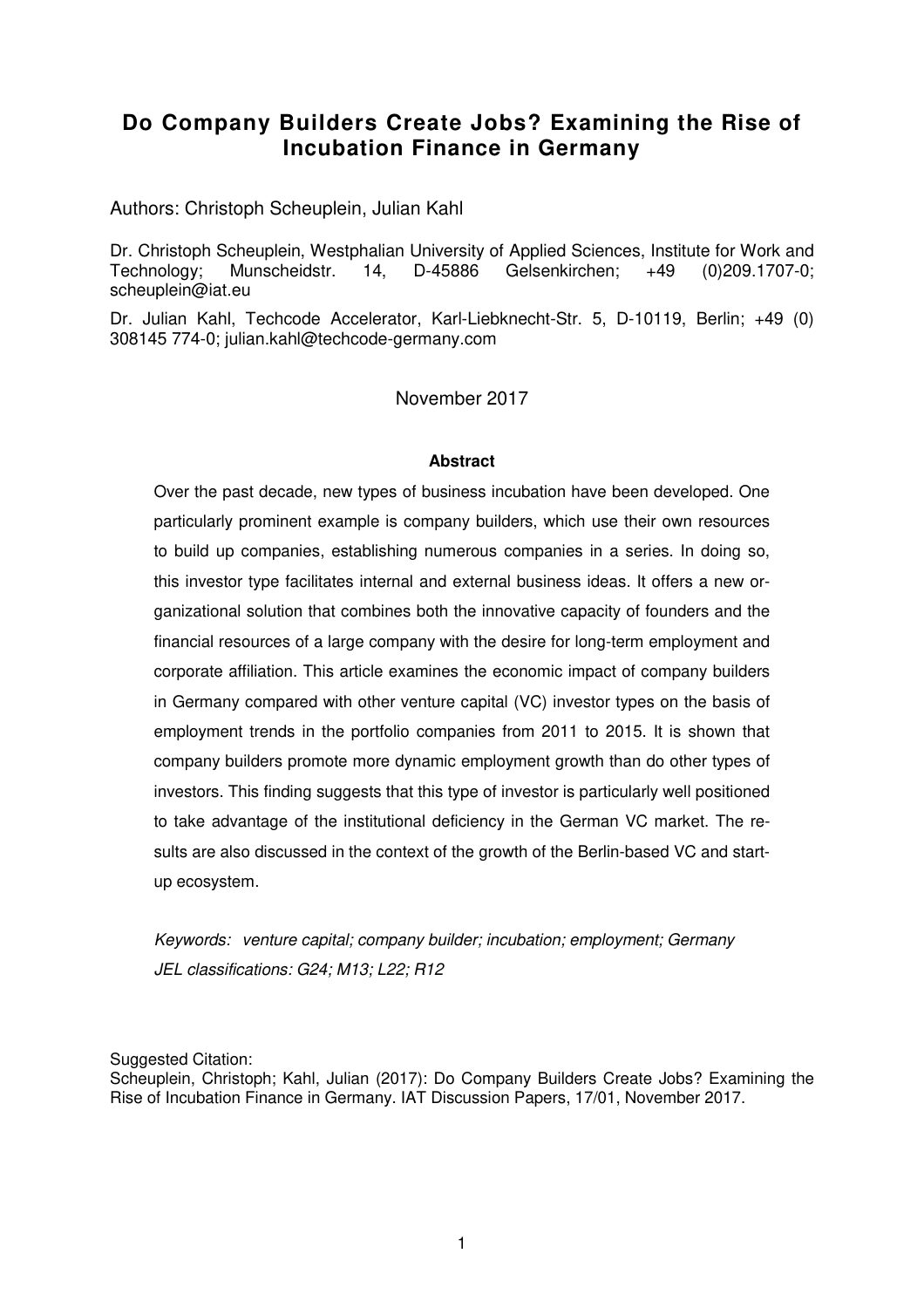# **Do Company Builders Create Jobs? Examining the Rise of Incubation Finance in Germany**

Authors: Christoph Scheuplein, Julian Kahl

Dr. Christoph Scheuplein, Westphalian University of Applied Sciences, Institute for Work and Technology; Munscheidstr. 14, D-45886 Gelsenkirchen; +49 (0)209.1707-0; scheuplein@iat.eu

Dr. Julian Kahl, Techcode Accelerator, Karl-Liebknecht-Str. 5, D-10119, Berlin; +49 (0) 308145 774-0; julian.kahl@techcode-germany.com

# November 2017

#### **Abstract**

Over the past decade, new types of business incubation have been developed. One particularly prominent example is company builders, which use their own resources to build up companies, establishing numerous companies in a series. In doing so, this investor type facilitates internal and external business ideas. It offers a new organizational solution that combines both the innovative capacity of founders and the financial resources of a large company with the desire for long-term employment and corporate affiliation. This article examines the economic impact of company builders in Germany compared with other venture capital (VC) investor types on the basis of employment trends in the portfolio companies from 2011 to 2015. It is shown that company builders promote more dynamic employment growth than do other types of investors. This finding suggests that this type of investor is particularly well positioned to take advantage of the institutional deficiency in the German VC market. The results are also discussed in the context of the growth of the Berlin-based VC and startup ecosystem.

Keywords: venture capital; company builder; incubation; employment; Germany JEL classifications: G24; M13; L22; R12

Suggested Citation:

Scheuplein, Christoph; Kahl, Julian (2017): Do Company Builders Create Jobs? Examining the Rise of Incubation Finance in Germany. IAT Discussion Papers, 17/01, November 2017.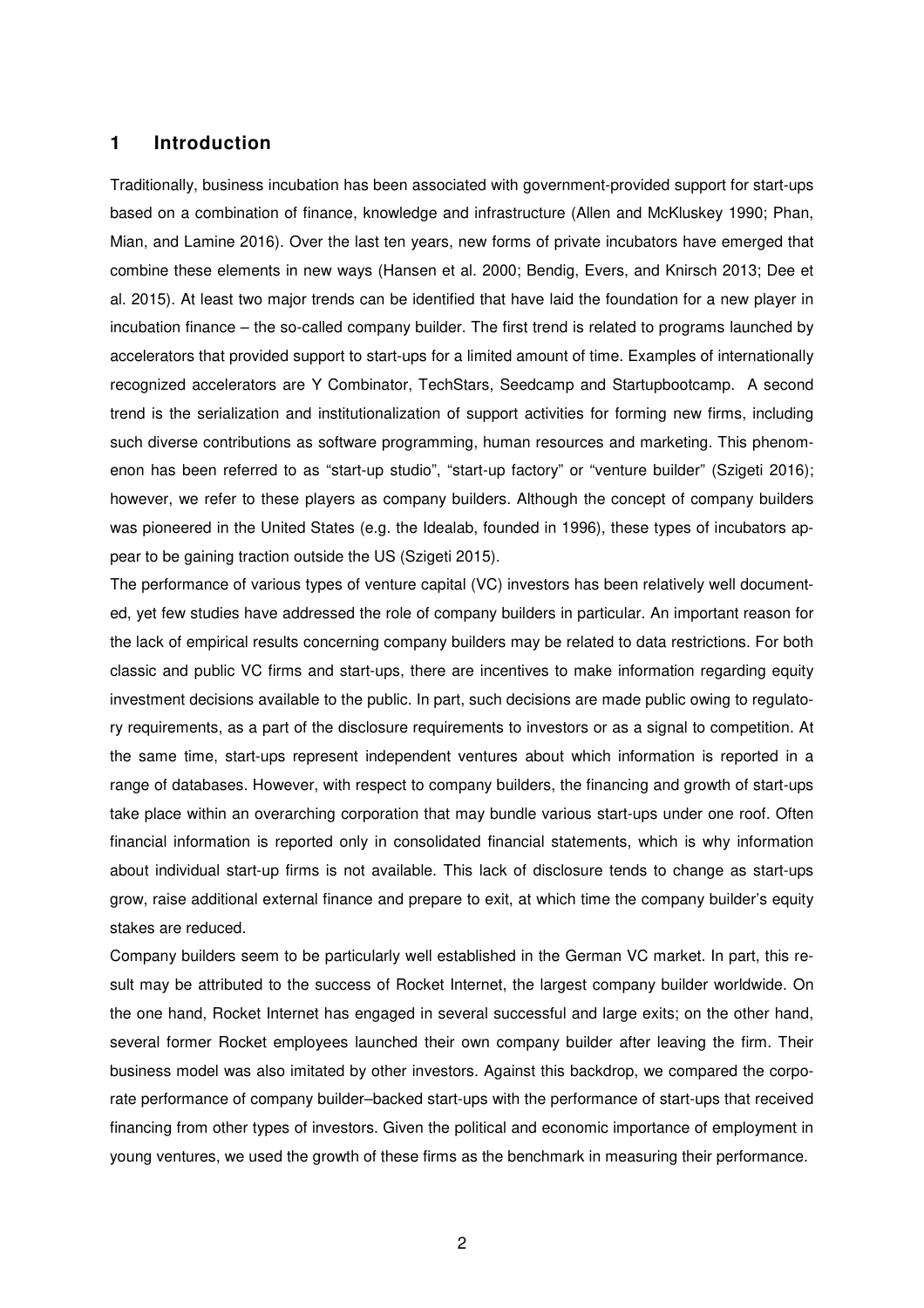#### **1 Introduction**

Traditionally, business incubation has been associated with government-provided support for start-ups based on a combination of finance, knowledge and infrastructure (Allen and McKluskey 1990; Phan, Mian, and Lamine 2016). Over the last ten years, new forms of private incubators have emerged that combine these elements in new ways (Hansen et al. 2000; Bendig, Evers, and Knirsch 2013; Dee et al. 2015). At least two major trends can be identified that have laid the foundation for a new player in incubation finance – the so-called company builder. The first trend is related to programs launched by accelerators that provided support to start-ups for a limited amount of time. Examples of internationally recognized accelerators are Y Combinator, TechStars, Seedcamp and Startupbootcamp. A second trend is the serialization and institutionalization of support activities for forming new firms, including such diverse contributions as software programming, human resources and marketing. This phenomenon has been referred to as "start-up studio", "start-up factory" or "venture builder" (Szigeti 2016); however, we refer to these players as company builders. Although the concept of company builders was pioneered in the United States (e.g. the Idealab, founded in 1996), these types of incubators appear to be gaining traction outside the US (Szigeti 2015).

The performance of various types of venture capital (VC) investors has been relatively well documented, yet few studies have addressed the role of company builders in particular. An important reason for the lack of empirical results concerning company builders may be related to data restrictions. For both classic and public VC firms and start-ups, there are incentives to make information regarding equity investment decisions available to the public. In part, such decisions are made public owing to regulatory requirements, as a part of the disclosure requirements to investors or as a signal to competition. At the same time, start-ups represent independent ventures about which information is reported in a range of databases. However, with respect to company builders, the financing and growth of start-ups take place within an overarching corporation that may bundle various start-ups under one roof. Often financial information is reported only in consolidated financial statements, which is why information about individual start-up firms is not available. This lack of disclosure tends to change as start-ups grow, raise additional external finance and prepare to exit, at which time the company builder's equity stakes are reduced.

Company builders seem to be particularly well established in the German VC market. In part, this result may be attributed to the success of Rocket Internet, the largest company builder worldwide. On the one hand, Rocket Internet has engaged in several successful and large exits; on the other hand, several former Rocket employees launched their own company builder after leaving the firm. Their business model was also imitated by other investors. Against this backdrop, we compared the corporate performance of company builder–backed start-ups with the performance of start-ups that received financing from other types of investors. Given the political and economic importance of employment in young ventures, we used the growth of these firms as the benchmark in measuring their performance.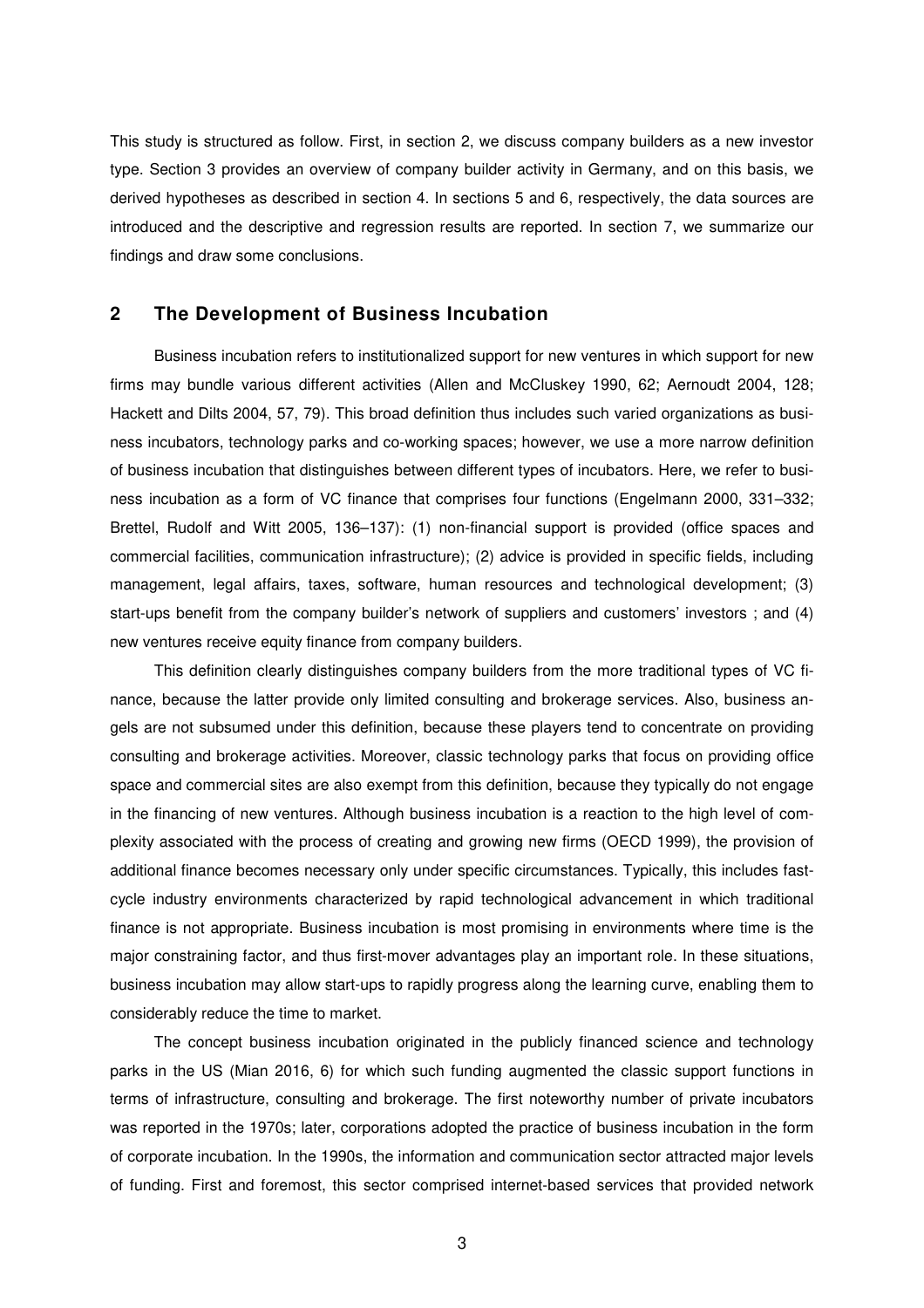This study is structured as follow. First, in section 2, we discuss company builders as a new investor type. Section 3 provides an overview of company builder activity in Germany, and on this basis, we derived hypotheses as described in section 4. In sections 5 and 6, respectively, the data sources are introduced and the descriptive and regression results are reported. In section 7, we summarize our findings and draw some conclusions.

# **2 The Development of Business Incubation**

Business incubation refers to institutionalized support for new ventures in which support for new firms may bundle various different activities (Allen and McCluskey 1990, 62; Aernoudt 2004, 128; Hackett and Dilts 2004, 57, 79). This broad definition thus includes such varied organizations as business incubators, technology parks and co-working spaces; however, we use a more narrow definition of business incubation that distinguishes between different types of incubators. Here, we refer to business incubation as a form of VC finance that comprises four functions (Engelmann 2000, 331–332; Brettel, Rudolf and Witt 2005, 136–137): (1) non-financial support is provided (office spaces and commercial facilities, communication infrastructure); (2) advice is provided in specific fields, including management, legal affairs, taxes, software, human resources and technological development; (3) start-ups benefit from the company builder's network of suppliers and customers' investors ; and (4) new ventures receive equity finance from company builders.

This definition clearly distinguishes company builders from the more traditional types of VC finance, because the latter provide only limited consulting and brokerage services. Also, business angels are not subsumed under this definition, because these players tend to concentrate on providing consulting and brokerage activities. Moreover, classic technology parks that focus on providing office space and commercial sites are also exempt from this definition, because they typically do not engage in the financing of new ventures. Although business incubation is a reaction to the high level of complexity associated with the process of creating and growing new firms (OECD 1999), the provision of additional finance becomes necessary only under specific circumstances. Typically, this includes fastcycle industry environments characterized by rapid technological advancement in which traditional finance is not appropriate. Business incubation is most promising in environments where time is the major constraining factor, and thus first-mover advantages play an important role. In these situations, business incubation may allow start-ups to rapidly progress along the learning curve, enabling them to considerably reduce the time to market.

The concept business incubation originated in the publicly financed science and technology parks in the US (Mian 2016, 6) for which such funding augmented the classic support functions in terms of infrastructure, consulting and brokerage. The first noteworthy number of private incubators was reported in the 1970s; later, corporations adopted the practice of business incubation in the form of corporate incubation. In the 1990s, the information and communication sector attracted major levels of funding. First and foremost, this sector comprised internet-based services that provided network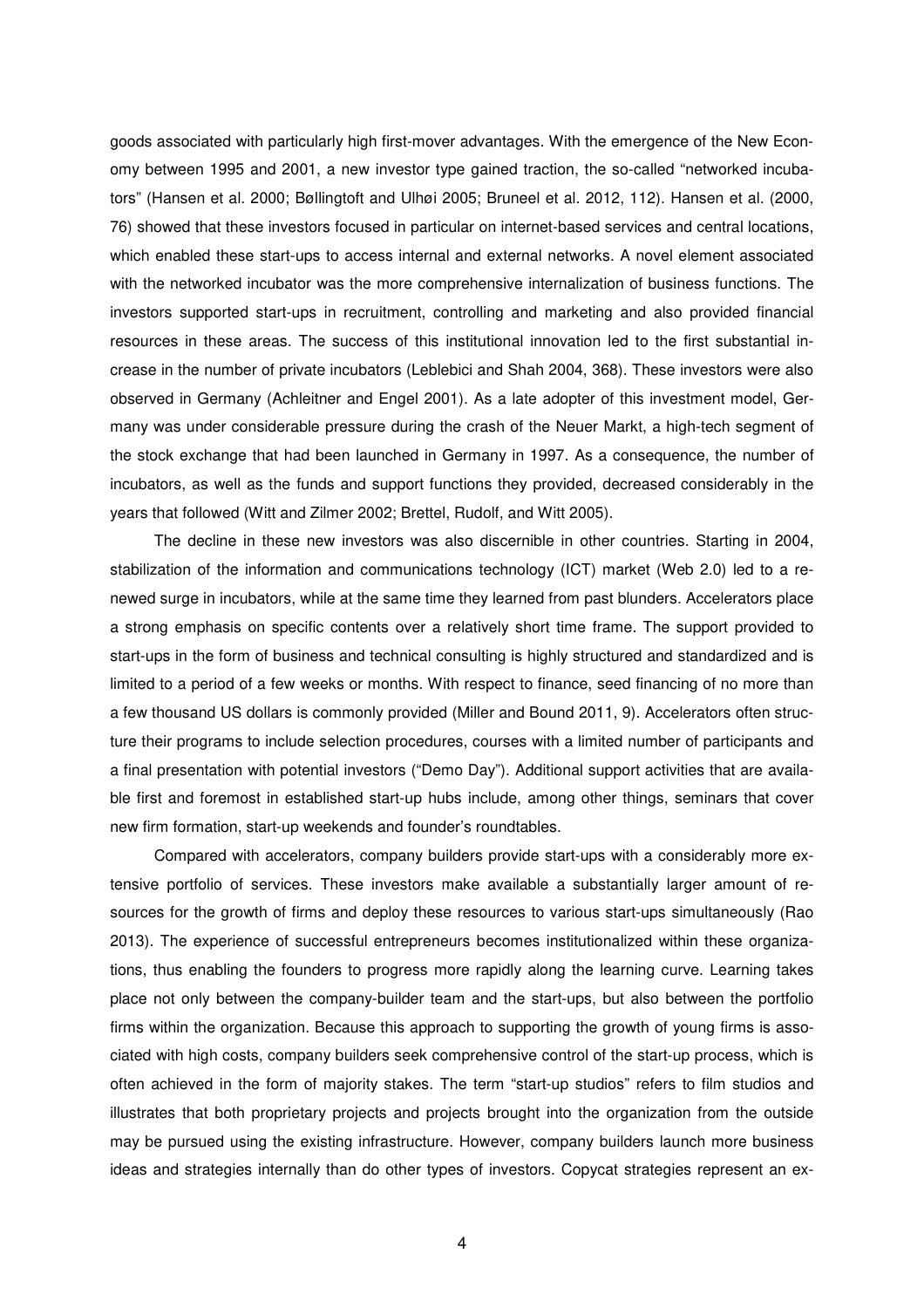goods associated with particularly high first-mover advantages. With the emergence of the New Economy between 1995 and 2001, a new investor type gained traction, the so-called "networked incubators" (Hansen et al. 2000; Bøllingtoft and Ulhøi 2005; Bruneel et al. 2012, 112). Hansen et al. (2000, 76) showed that these investors focused in particular on internet-based services and central locations, which enabled these start-ups to access internal and external networks. A novel element associated with the networked incubator was the more comprehensive internalization of business functions. The investors supported start-ups in recruitment, controlling and marketing and also provided financial resources in these areas. The success of this institutional innovation led to the first substantial increase in the number of private incubators (Leblebici and Shah 2004, 368). These investors were also observed in Germany (Achleitner and Engel 2001). As a late adopter of this investment model, Germany was under considerable pressure during the crash of the Neuer Markt, a high-tech segment of the stock exchange that had been launched in Germany in 1997. As a consequence, the number of incubators, as well as the funds and support functions they provided, decreased considerably in the years that followed (Witt and Zilmer 2002; Brettel, Rudolf, and Witt 2005).

The decline in these new investors was also discernible in other countries. Starting in 2004, stabilization of the information and communications technology (ICT) market (Web 2.0) led to a renewed surge in incubators, while at the same time they learned from past blunders. Accelerators place a strong emphasis on specific contents over a relatively short time frame. The support provided to start-ups in the form of business and technical consulting is highly structured and standardized and is limited to a period of a few weeks or months. With respect to finance, seed financing of no more than a few thousand US dollars is commonly provided (Miller and Bound 2011, 9). Accelerators often structure their programs to include selection procedures, courses with a limited number of participants and a final presentation with potential investors ("Demo Day"). Additional support activities that are available first and foremost in established start-up hubs include, among other things, seminars that cover new firm formation, start-up weekends and founder's roundtables.

Compared with accelerators, company builders provide start-ups with a considerably more extensive portfolio of services. These investors make available a substantially larger amount of resources for the growth of firms and deploy these resources to various start-ups simultaneously (Rao 2013). The experience of successful entrepreneurs becomes institutionalized within these organizations, thus enabling the founders to progress more rapidly along the learning curve. Learning takes place not only between the company-builder team and the start-ups, but also between the portfolio firms within the organization. Because this approach to supporting the growth of young firms is associated with high costs, company builders seek comprehensive control of the start-up process, which is often achieved in the form of majority stakes. The term "start-up studios" refers to film studios and illustrates that both proprietary projects and projects brought into the organization from the outside may be pursued using the existing infrastructure. However, company builders launch more business ideas and strategies internally than do other types of investors. Copycat strategies represent an ex-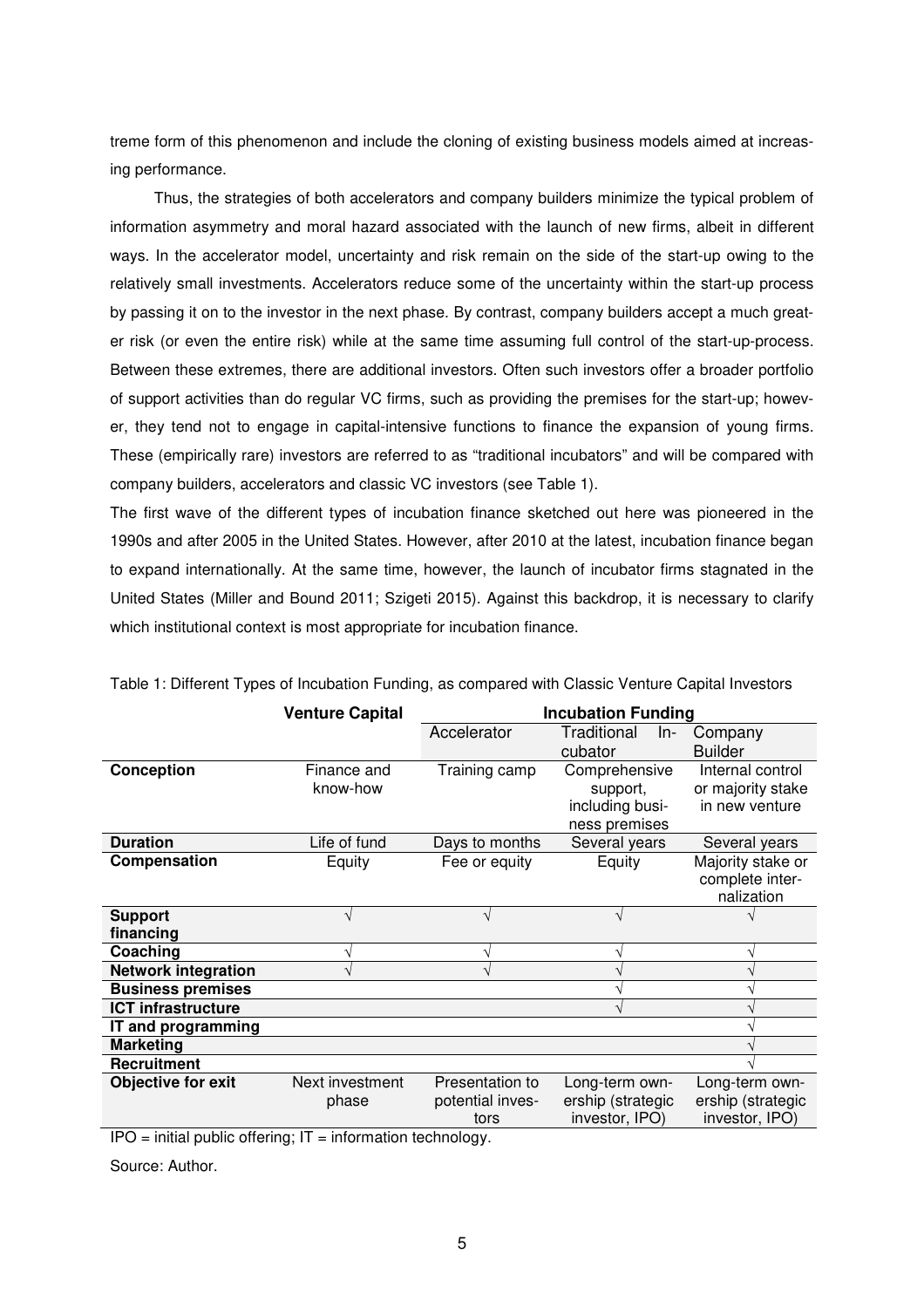treme form of this phenomenon and include the cloning of existing business models aimed at increasing performance.

Thus, the strategies of both accelerators and company builders minimize the typical problem of information asymmetry and moral hazard associated with the launch of new firms, albeit in different ways. In the accelerator model, uncertainty and risk remain on the side of the start-up owing to the relatively small investments. Accelerators reduce some of the uncertainty within the start-up process by passing it on to the investor in the next phase. By contrast, company builders accept a much greater risk (or even the entire risk) while at the same time assuming full control of the start-up-process. Between these extremes, there are additional investors. Often such investors offer a broader portfolio of support activities than do regular VC firms, such as providing the premises for the start-up; however, they tend not to engage in capital-intensive functions to finance the expansion of young firms. These (empirically rare) investors are referred to as "traditional incubators" and will be compared with company builders, accelerators and classic VC investors (see Table 1).

The first wave of the different types of incubation finance sketched out here was pioneered in the 1990s and after 2005 in the United States. However, after 2010 at the latest, incubation finance began to expand internationally. At the same time, however, the launch of incubator firms stagnated in the United States (Miller and Bound 2011; Szigeti 2015). Against this backdrop, it is necessary to clarify which institutional context is most appropriate for incubation finance.

|                            | <b>Venture Capital</b> | <b>Incubation Funding</b> |                    |                   |  |  |  |  |  |  |
|----------------------------|------------------------|---------------------------|--------------------|-------------------|--|--|--|--|--|--|
|                            |                        | Accelerator               | Traditional<br>In- | Company           |  |  |  |  |  |  |
|                            |                        |                           | cubator            | <b>Builder</b>    |  |  |  |  |  |  |
| Conception                 | Finance and            | Training camp             | Comprehensive      | Internal control  |  |  |  |  |  |  |
|                            | know-how               |                           | support,           | or majority stake |  |  |  |  |  |  |
|                            |                        |                           | including busi-    | in new venture    |  |  |  |  |  |  |
|                            |                        |                           | ness premises      |                   |  |  |  |  |  |  |
| <b>Duration</b>            | Life of fund           | Days to months            | Several years      | Several years     |  |  |  |  |  |  |
| Compensation               | Equity                 | Fee or equity             | Equity             | Majority stake or |  |  |  |  |  |  |
|                            |                        |                           |                    | complete inter-   |  |  |  |  |  |  |
|                            |                        |                           |                    | nalization        |  |  |  |  |  |  |
| <b>Support</b>             |                        |                           |                    |                   |  |  |  |  |  |  |
| financing                  |                        |                           |                    |                   |  |  |  |  |  |  |
| Coaching                   |                        |                           |                    |                   |  |  |  |  |  |  |
| <b>Network integration</b> |                        |                           |                    |                   |  |  |  |  |  |  |
| <b>Business premises</b>   |                        |                           |                    |                   |  |  |  |  |  |  |
| <b>ICT infrastructure</b>  |                        |                           |                    |                   |  |  |  |  |  |  |
| IT and programming         |                        |                           |                    |                   |  |  |  |  |  |  |
| <b>Marketing</b>           |                        |                           |                    |                   |  |  |  |  |  |  |
| <b>Recruitment</b>         |                        |                           |                    |                   |  |  |  |  |  |  |
| <b>Objective for exit</b>  | Next investment        | Presentation to           | Long-term own-     | Long-term own-    |  |  |  |  |  |  |
|                            | phase                  | potential inves-          | ership (strategic  | ership (strategic |  |  |  |  |  |  |
|                            |                        | tors                      | investor, IPO)     | investor, IPO)    |  |  |  |  |  |  |

Table 1: Different Types of Incubation Funding, as compared with Classic Venture Capital Investors

 $IPO =$  initial public offering;  $IT =$  information technology.

Source: Author.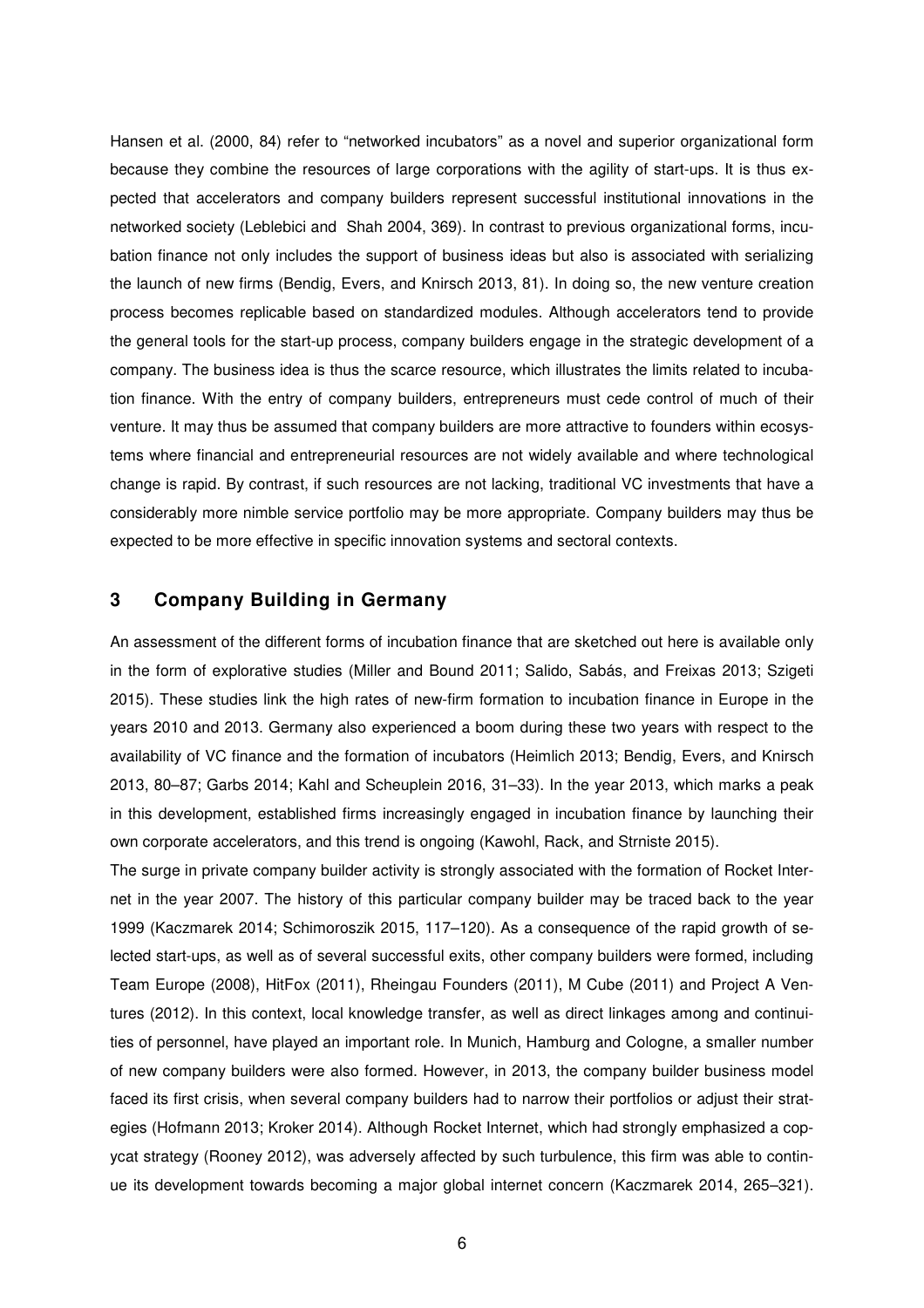Hansen et al. (2000, 84) refer to "networked incubators" as a novel and superior organizational form because they combine the resources of large corporations with the agility of start-ups. It is thus expected that accelerators and company builders represent successful institutional innovations in the networked society (Leblebici and Shah 2004, 369). In contrast to previous organizational forms, incubation finance not only includes the support of business ideas but also is associated with serializing the launch of new firms (Bendig, Evers, and Knirsch 2013, 81). In doing so, the new venture creation process becomes replicable based on standardized modules. Although accelerators tend to provide the general tools for the start-up process, company builders engage in the strategic development of a company. The business idea is thus the scarce resource, which illustrates the limits related to incubation finance. With the entry of company builders, entrepreneurs must cede control of much of their venture. It may thus be assumed that company builders are more attractive to founders within ecosystems where financial and entrepreneurial resources are not widely available and where technological change is rapid. By contrast, if such resources are not lacking, traditional VC investments that have a considerably more nimble service portfolio may be more appropriate. Company builders may thus be expected to be more effective in specific innovation systems and sectoral contexts.

# **3 Company Building in Germany**

An assessment of the different forms of incubation finance that are sketched out here is available only in the form of explorative studies (Miller and Bound 2011; Salido, Sabás, and Freixas 2013; Szigeti 2015). These studies link the high rates of new-firm formation to incubation finance in Europe in the years 2010 and 2013. Germany also experienced a boom during these two years with respect to the availability of VC finance and the formation of incubators (Heimlich 2013; Bendig, Evers, and Knirsch 2013, 80–87; Garbs 2014; Kahl and Scheuplein 2016, 31–33). In the year 2013, which marks a peak in this development, established firms increasingly engaged in incubation finance by launching their own corporate accelerators, and this trend is ongoing (Kawohl, Rack, and Strniste 2015).

The surge in private company builder activity is strongly associated with the formation of Rocket Internet in the year 2007. The history of this particular company builder may be traced back to the year 1999 (Kaczmarek 2014; Schimoroszik 2015, 117–120). As a consequence of the rapid growth of selected start-ups, as well as of several successful exits, other company builders were formed, including Team Europe (2008), HitFox (2011), Rheingau Founders (2011), M Cube (2011) and Project A Ventures (2012). In this context, local knowledge transfer, as well as direct linkages among and continuities of personnel, have played an important role. In Munich, Hamburg and Cologne, a smaller number of new company builders were also formed. However, in 2013, the company builder business model faced its first crisis, when several company builders had to narrow their portfolios or adjust their strategies (Hofmann 2013; Kroker 2014). Although Rocket Internet, which had strongly emphasized a copycat strategy (Rooney 2012), was adversely affected by such turbulence, this firm was able to continue its development towards becoming a major global internet concern (Kaczmarek 2014, 265–321).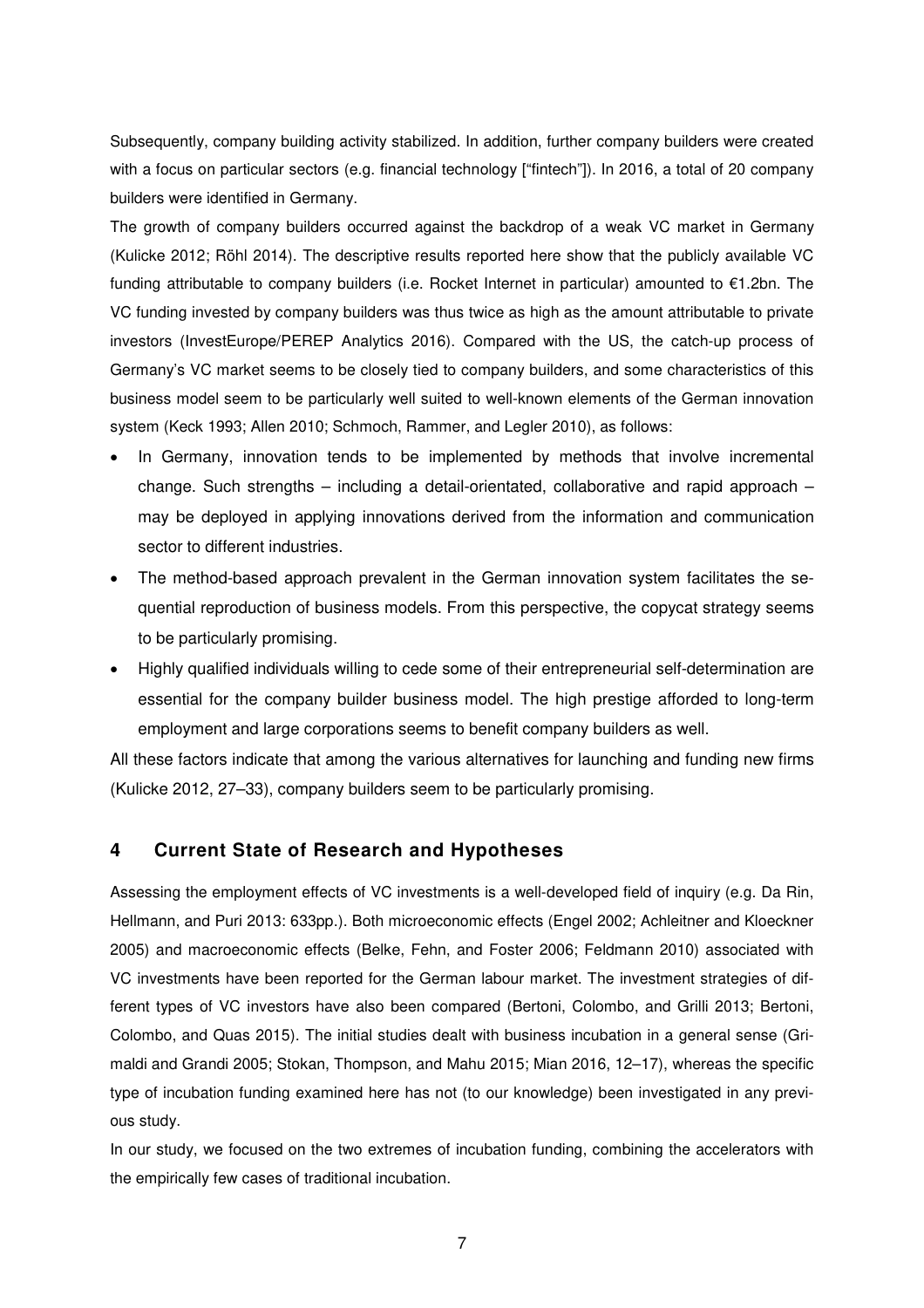Subsequently, company building activity stabilized. In addition, further company builders were created with a focus on particular sectors (e.g. financial technology ["fintech"]). In 2016, a total of 20 company builders were identified in Germany.

The growth of company builders occurred against the backdrop of a weak VC market in Germany (Kulicke 2012; Röhl 2014). The descriptive results reported here show that the publicly available VC funding attributable to company builders (i.e. Rocket Internet in particular) amounted to €1.2bn. The VC funding invested by company builders was thus twice as high as the amount attributable to private investors (InvestEurope/PEREP Analytics 2016). Compared with the US, the catch-up process of Germany's VC market seems to be closely tied to company builders, and some characteristics of this business model seem to be particularly well suited to well-known elements of the German innovation system (Keck 1993; Allen 2010; Schmoch, Rammer, and Legler 2010), as follows:

- In Germany, innovation tends to be implemented by methods that involve incremental change. Such strengths – including a detail-orientated, collaborative and rapid approach – may be deployed in applying innovations derived from the information and communication sector to different industries.
- The method-based approach prevalent in the German innovation system facilitates the sequential reproduction of business models. From this perspective, the copycat strategy seems to be particularly promising.
- Highly qualified individuals willing to cede some of their entrepreneurial self-determination are essential for the company builder business model. The high prestige afforded to long-term employment and large corporations seems to benefit company builders as well.

All these factors indicate that among the various alternatives for launching and funding new firms (Kulicke 2012, 27–33), company builders seem to be particularly promising.

# **4 Current State of Research and Hypotheses**

Assessing the employment effects of VC investments is a well-developed field of inquiry (e.g. Da Rin, Hellmann, and Puri 2013: 633pp.). Both microeconomic effects (Engel 2002; Achleitner and Kloeckner 2005) and macroeconomic effects (Belke, Fehn, and Foster 2006; Feldmann 2010) associated with VC investments have been reported for the German labour market. The investment strategies of different types of VC investors have also been compared (Bertoni, Colombo, and Grilli 2013; Bertoni, Colombo, and Quas 2015). The initial studies dealt with business incubation in a general sense (Grimaldi and Grandi 2005; Stokan, Thompson, and Mahu 2015; Mian 2016, 12–17), whereas the specific type of incubation funding examined here has not (to our knowledge) been investigated in any previous study.

In our study, we focused on the two extremes of incubation funding, combining the accelerators with the empirically few cases of traditional incubation.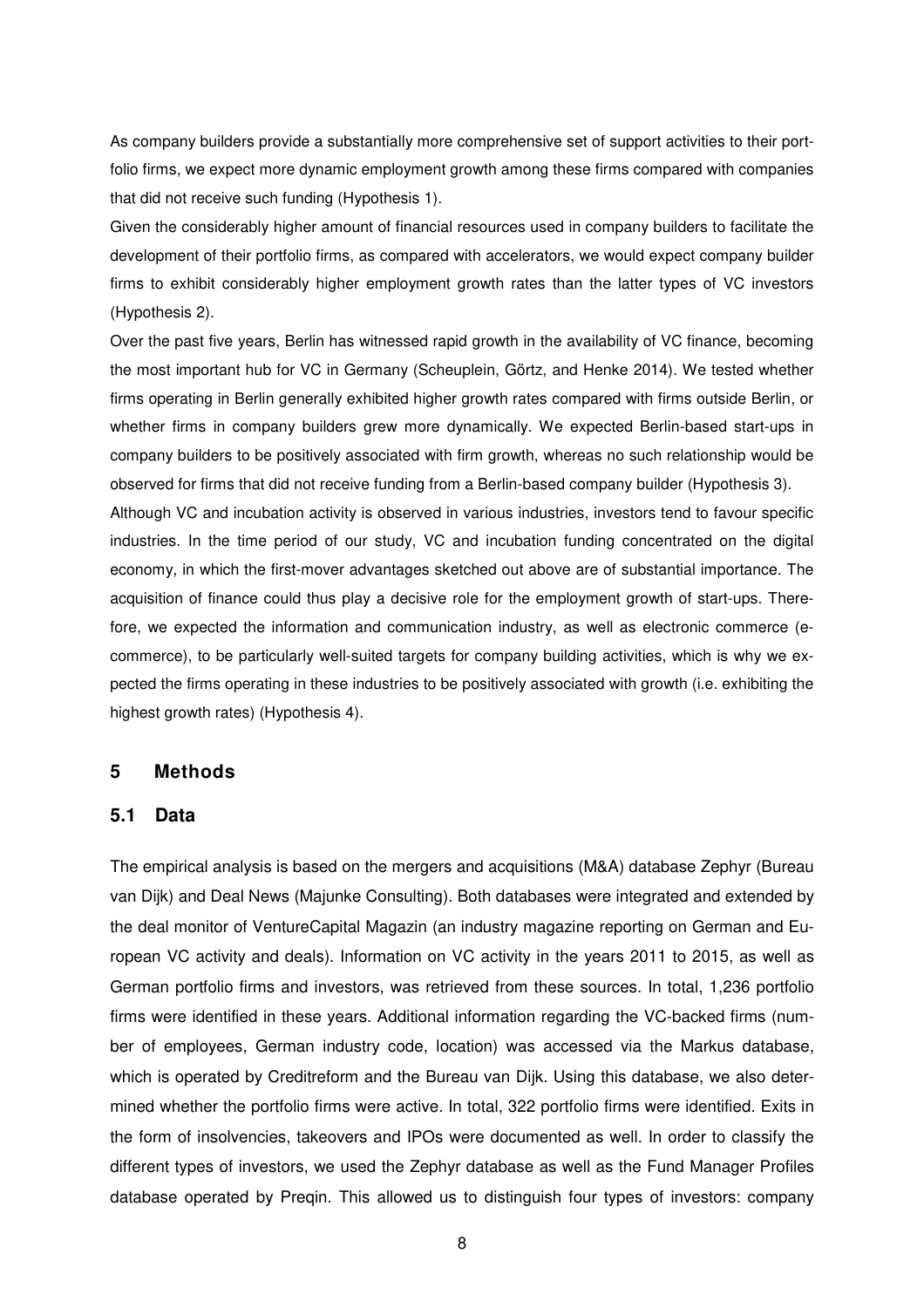As company builders provide a substantially more comprehensive set of support activities to their portfolio firms, we expect more dynamic employment growth among these firms compared with companies that did not receive such funding (Hypothesis 1).

Given the considerably higher amount of financial resources used in company builders to facilitate the development of their portfolio firms, as compared with accelerators, we would expect company builder firms to exhibit considerably higher employment growth rates than the latter types of VC investors (Hypothesis 2).

Over the past five years, Berlin has witnessed rapid growth in the availability of VC finance, becoming the most important hub for VC in Germany (Scheuplein, Görtz, and Henke 2014). We tested whether firms operating in Berlin generally exhibited higher growth rates compared with firms outside Berlin, or whether firms in company builders grew more dynamically. We expected Berlin-based start-ups in company builders to be positively associated with firm growth, whereas no such relationship would be observed for firms that did not receive funding from a Berlin-based company builder (Hypothesis 3).

Although VC and incubation activity is observed in various industries, investors tend to favour specific industries. In the time period of our study, VC and incubation funding concentrated on the digital economy, in which the first-mover advantages sketched out above are of substantial importance. The acquisition of finance could thus play a decisive role for the employment growth of start-ups. Therefore, we expected the information and communication industry, as well as electronic commerce (ecommerce), to be particularly well-suited targets for company building activities, which is why we expected the firms operating in these industries to be positively associated with growth (i.e. exhibiting the highest growth rates) (Hypothesis 4).

#### **5 Methods**

#### **5.1 Data**

The empirical analysis is based on the mergers and acquisitions (M&A) database Zephyr (Bureau van Dijk) and Deal News (Majunke Consulting). Both databases were integrated and extended by the deal monitor of VentureCapital Magazin (an industry magazine reporting on German and European VC activity and deals). Information on VC activity in the years 2011 to 2015, as well as German portfolio firms and investors, was retrieved from these sources. In total, 1,236 portfolio firms were identified in these years. Additional information regarding the VC-backed firms (number of employees, German industry code, location) was accessed via the Markus database, which is operated by Creditreform and the Bureau van Dijk. Using this database, we also determined whether the portfolio firms were active. In total, 322 portfolio firms were identified. Exits in the form of insolvencies, takeovers and IPOs were documented as well. In order to classify the different types of investors, we used the Zephyr database as well as the Fund Manager Profiles database operated by Preqin. This allowed us to distinguish four types of investors: company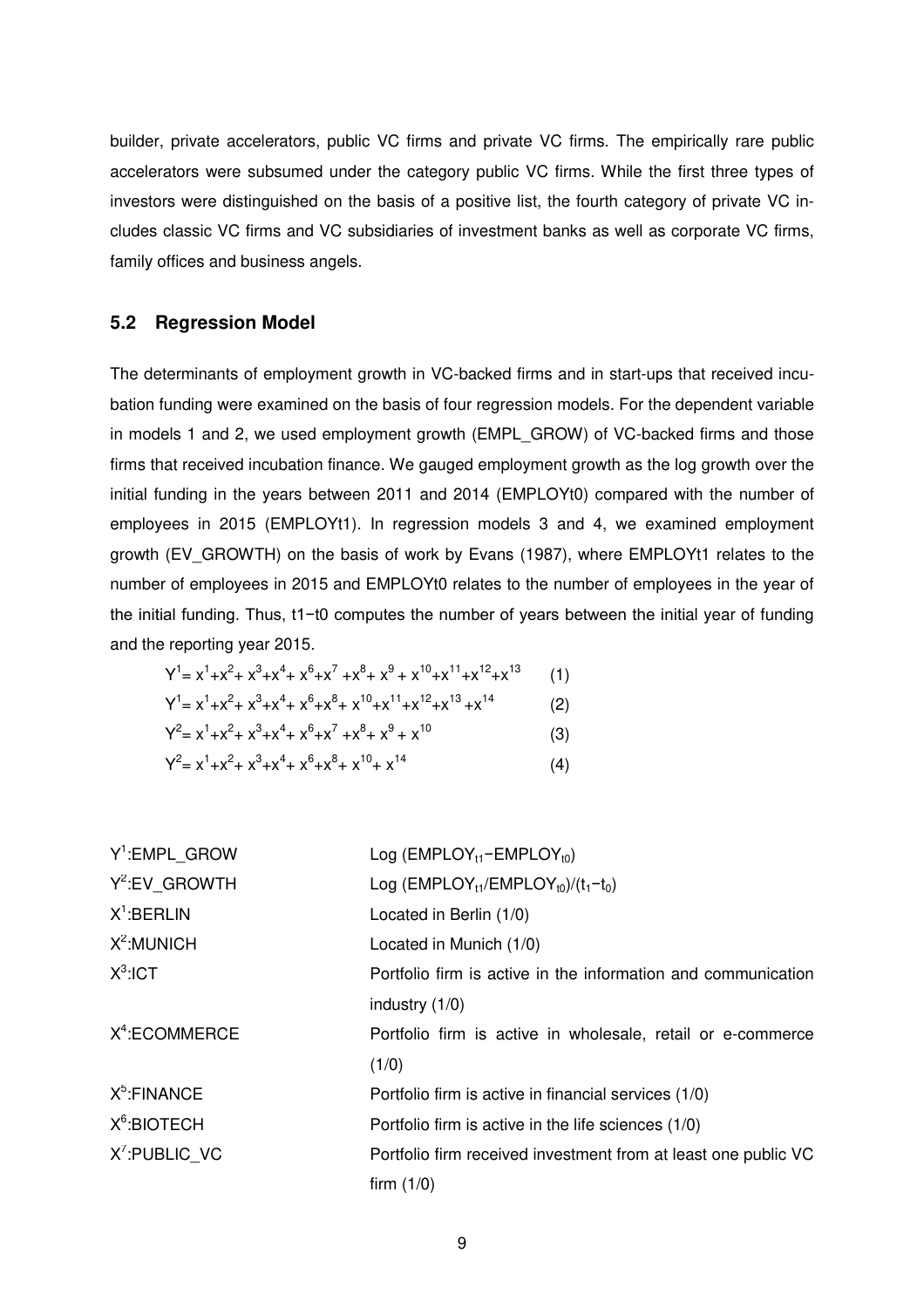builder, private accelerators, public VC firms and private VC firms. The empirically rare public accelerators were subsumed under the category public VC firms. While the first three types of investors were distinguished on the basis of a positive list, the fourth category of private VC includes classic VC firms and VC subsidiaries of investment banks as well as corporate VC firms, family offices and business angels.

#### **5.2 Regression Model**

The determinants of employment growth in VC-backed firms and in start-ups that received incubation funding were examined on the basis of four regression models. For the dependent variable in models 1 and 2, we used employment growth (EMPL\_GROW) of VC-backed firms and those firms that received incubation finance. We gauged employment growth as the log growth over the initial funding in the years between 2011 and 2014 (EMPLOYt0) compared with the number of employees in 2015 (EMPLOYt1). In regression models 3 and 4, we examined employment growth (EV\_GROWTH) on the basis of work by Evans (1987), where EMPLOYt1 relates to the number of employees in 2015 and EMPLOYt0 relates to the number of employees in the year of the initial funding. Thus, t1−t0 computes the number of years between the initial year of funding and the reporting year 2015.

$$
Y^{1} = x^{1} + x^{2} + x^{3} + x^{4} + x^{6} + x^{7} + x^{8} + x^{9} + x^{10} + x^{11} + x^{12} + x^{13}
$$
 (1)

$$
Y^{1} = x^{1} + x^{2} + x^{3} + x^{4} + x^{6} + x^{8} + x^{10} + x^{11} + x^{12} + x^{13} + x^{14}
$$
 (2)

$$
Y^{2} = x^{1} + x^{2} + x^{3} + x^{4} + x^{6} + x^{7} + x^{8} + x^{9} + x^{10}
$$
 (3)

$$
Y^{2} = x^{1} + x^{2} + x^{3} + x^{4} + x^{6} + x^{8} + x^{10} + x^{14}
$$
 (4)

| $Y^1$ : EMPL_GROW         | Log (EMPLOY <sub>t1</sub> -EMPLOY <sub>t0</sub> )                   |
|---------------------------|---------------------------------------------------------------------|
| $Y^2$ : EV GROWTH         | Log (EMPLOY <sub>t1</sub> /EMPLOY <sub>t0</sub> )/( $t_1$ - $t_0$ ) |
| $X^1$ : BERLIN            | Located in Berlin (1/0)                                             |
| $X^2$ : MUNICH            | Located in Munich (1/0)                                             |
| $X^3$ :ICT                | Portfolio firm is active in the information and communication       |
|                           | industry $(1/0)$                                                    |
| $X^4$ : ECOMMERCE         | Portfolio firm is active in wholesale, retail or e-commerce         |
|                           | (1/0)                                                               |
| $X^5$ : FINANCE           | Portfolio firm is active in financial services (1/0)                |
| $X^6$ : BIOTECH           | Portfolio firm is active in the life sciences (1/0)                 |
| X <sup>7</sup> :PUBLIC VC | Portfolio firm received investment from at least one public VC      |
|                           | firm $(1/0)$                                                        |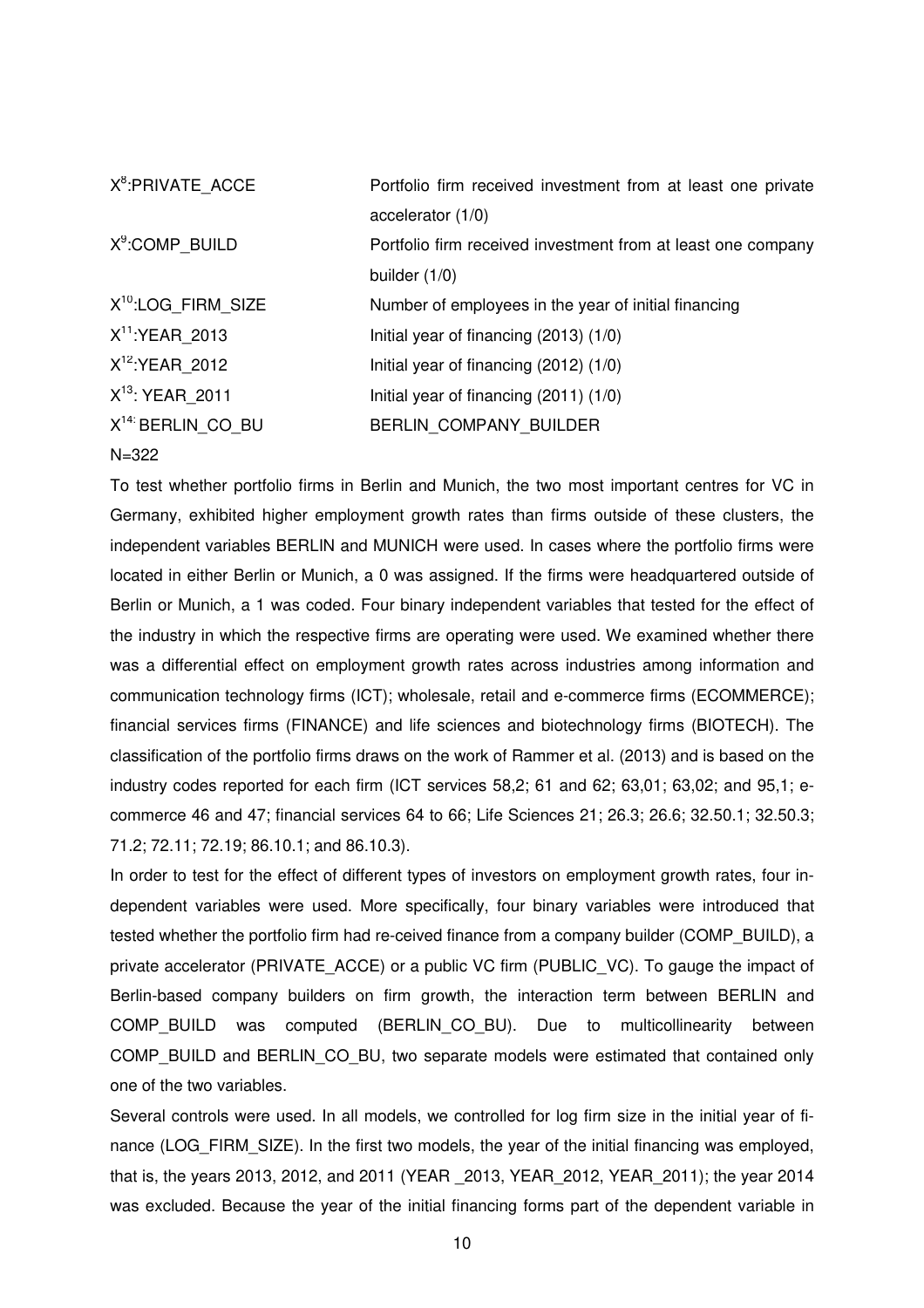| $X^8$ : PRIVATE ACCE          | Portfolio firm received investment from at least one private |
|-------------------------------|--------------------------------------------------------------|
|                               | accelerator (1/0)                                            |
| $X^9$ :COMP BUILD             | Portfolio firm received investment from at least one company |
|                               | builder $(1/0)$                                              |
| $X^{10}$ : LOG FIRM SIZE      | Number of employees in the year of initial financing         |
| $X^{11}$ : YEAR 2013          | Initial year of financing (2013) (1/0)                       |
| $X^{12}$ : YEAR 2012          | Initial year of financing $(2012)$ $(1/0)$                   |
| $X^{13}$ : YEAR 2011          | Initial year of financing (2011) (1/0)                       |
| X <sup>14:</sup> BERLIN CO BU | BERLIN COMPANY BUILDER                                       |
|                               |                                                              |

#### N=322

To test whether portfolio firms in Berlin and Munich, the two most important centres for VC in Germany, exhibited higher employment growth rates than firms outside of these clusters, the independent variables BERLIN and MUNICH were used. In cases where the portfolio firms were located in either Berlin or Munich, a 0 was assigned. If the firms were headquartered outside of Berlin or Munich, a 1 was coded. Four binary independent variables that tested for the effect of the industry in which the respective firms are operating were used. We examined whether there was a differential effect on employment growth rates across industries among information and communication technology firms (ICT); wholesale, retail and e-commerce firms (ECOMMERCE); financial services firms (FINANCE) and life sciences and biotechnology firms (BIOTECH). The classification of the portfolio firms draws on the work of Rammer et al. (2013) and is based on the industry codes reported for each firm (ICT services 58,2; 61 and 62; 63,01; 63,02; and 95,1; ecommerce 46 and 47; financial services 64 to 66; Life Sciences 21; 26.3; 26.6; 32.50.1; 32.50.3; 71.2; 72.11; 72.19; 86.10.1; and 86.10.3).

In order to test for the effect of different types of investors on employment growth rates, four independent variables were used. More specifically, four binary variables were introduced that tested whether the portfolio firm had re-ceived finance from a company builder (COMP\_BUILD), a private accelerator (PRIVATE\_ACCE) or a public VC firm (PUBLIC\_VC). To gauge the impact of Berlin-based company builders on firm growth, the interaction term between BERLIN and COMP\_BUILD was computed (BERLIN\_CO\_BU). Due to multicollinearity between COMP\_BUILD and BERLIN\_CO\_BU, two separate models were estimated that contained only one of the two variables.

Several controls were used. In all models, we controlled for log firm size in the initial year of finance (LOG\_FIRM\_SIZE). In the first two models, the year of the initial financing was employed, that is, the years 2013, 2012, and 2011 (YEAR \_2013, YEAR\_2012, YEAR\_2011); the year 2014 was excluded. Because the year of the initial financing forms part of the dependent variable in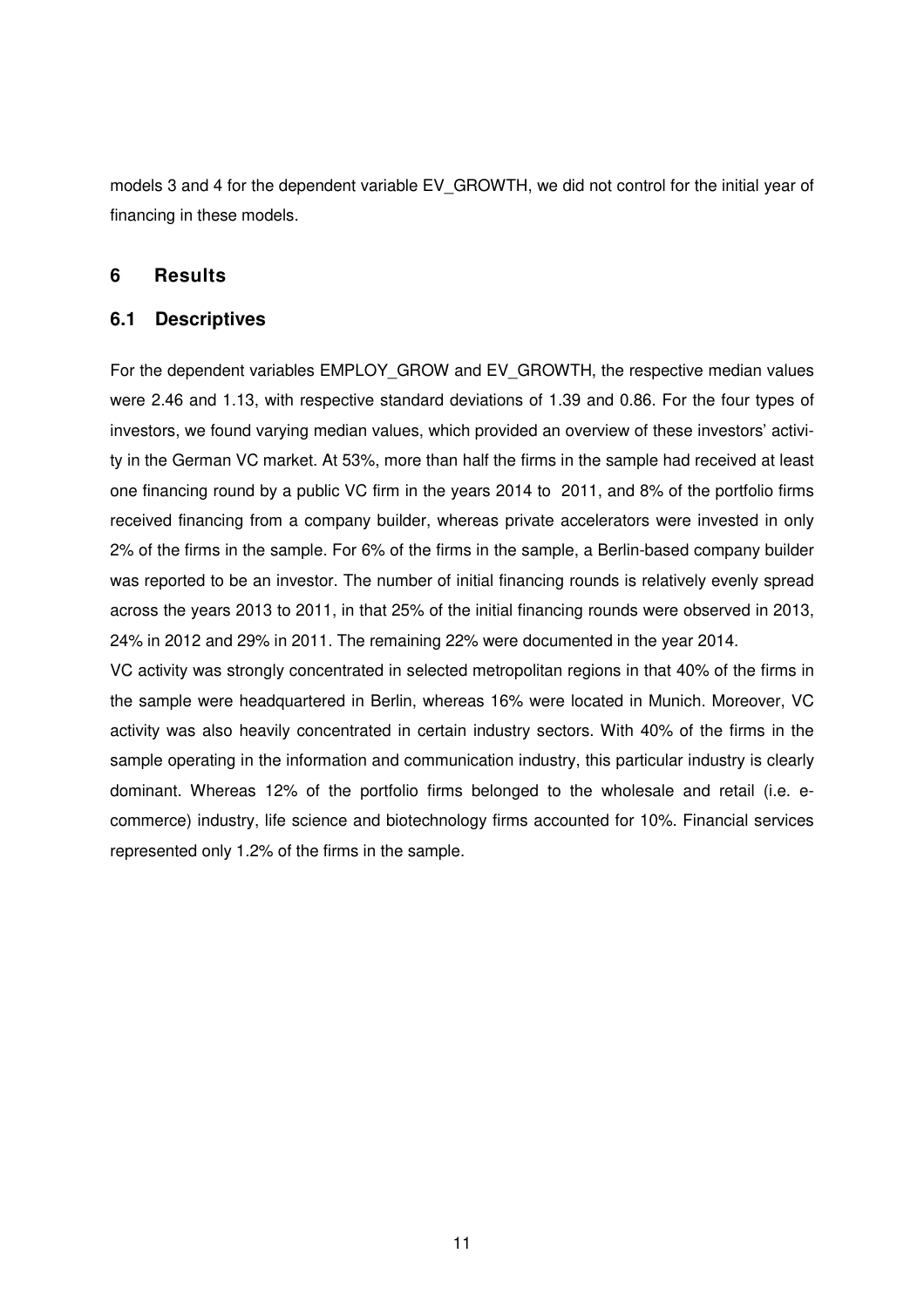models 3 and 4 for the dependent variable EV\_GROWTH, we did not control for the initial year of financing in these models.

# **6 Results**

# **6.1 Descriptives**

For the dependent variables EMPLOY\_GROW and EV\_GROWTH, the respective median values were 2.46 and 1.13, with respective standard deviations of 1.39 and 0.86. For the four types of investors, we found varying median values, which provided an overview of these investors' activity in the German VC market. At 53%, more than half the firms in the sample had received at least one financing round by a public VC firm in the years 2014 to 2011, and 8% of the portfolio firms received financing from a company builder, whereas private accelerators were invested in only 2% of the firms in the sample. For 6% of the firms in the sample, a Berlin-based company builder was reported to be an investor. The number of initial financing rounds is relatively evenly spread across the years 2013 to 2011, in that 25% of the initial financing rounds were observed in 2013, 24% in 2012 and 29% in 2011. The remaining 22% were documented in the year 2014.

VC activity was strongly concentrated in selected metropolitan regions in that 40% of the firms in the sample were headquartered in Berlin, whereas 16% were located in Munich. Moreover, VC activity was also heavily concentrated in certain industry sectors. With 40% of the firms in the sample operating in the information and communication industry, this particular industry is clearly dominant. Whereas 12% of the portfolio firms belonged to the wholesale and retail (i.e. ecommerce) industry, life science and biotechnology firms accounted for 10%. Financial services represented only 1.2% of the firms in the sample.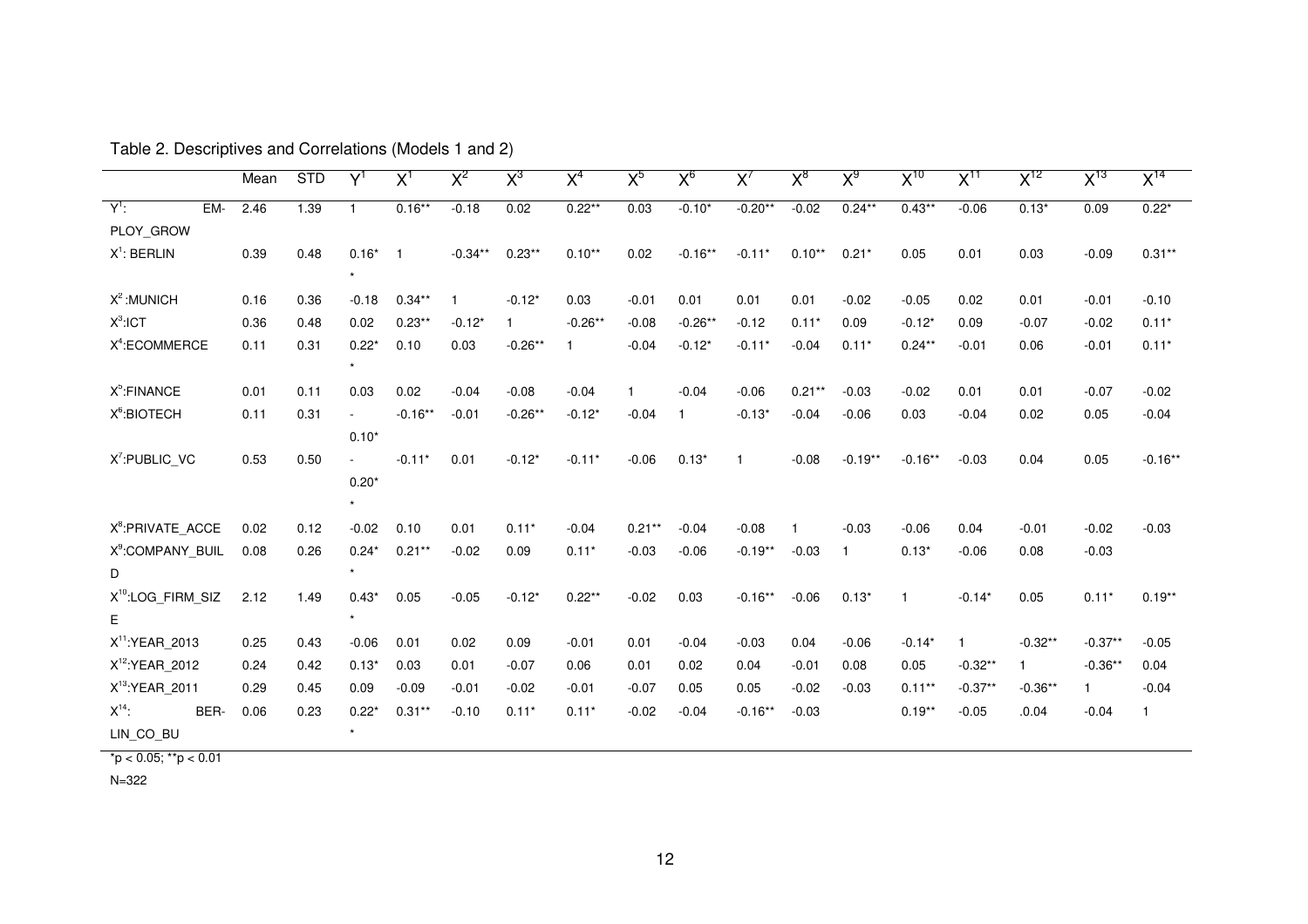| Mean | <b>STD</b> | $\sqrt{ }$ | $X^1$       | $X^2$          | $X_3$     | $X^4$     | $X^5$        | $X_{{\rm e}}$ | $X^7$          | $X_8$     | $X_{a}$   | $\mathsf{X}^\mathsf{10}$ | $\mathsf{X}^\mathsf{11}$ | $X^{12}$     | $X^{13}$     | $X^{14}$     |
|------|------------|------------|-------------|----------------|-----------|-----------|--------------|---------------|----------------|-----------|-----------|--------------------------|--------------------------|--------------|--------------|--------------|
| 2.46 | 1.39       |            | $0.16**$    | $-0.18$        | 0.02      | $0.22**$  | 0.03         | $-0.10*$      | $-0.20**$      | $-0.02$   | $0.24**$  | $0.43**$                 | $-0.06$                  | $0.13*$      | 0.09         | $0.22*$      |
|      |            |            |             |                |           |           |              |               |                |           |           |                          |                          |              |              |              |
| 0.39 | 0.48       | $0.16*$    | $\mathbf 1$ | $-0.34**$      | $0.23**$  | $0.10**$  | 0.02         | $-0.16**$     | $-0.11*$       | $0.10**$  | $0.21*$   | 0.05                     | 0.01                     | 0.03         | $-0.09$      | $0.31***$    |
|      |            | $\star$    |             |                |           |           |              |               |                |           |           |                          |                          |              |              |              |
| 0.16 | 0.36       | $-0.18$    | $0.34***$   | $\overline{1}$ | $-0.12*$  | 0.03      | $-0.01$      | 0.01          | 0.01           | 0.01      | $-0.02$   | $-0.05$                  | 0.02                     | 0.01         | $-0.01$      | $-0.10$      |
| 0.36 | 0.48       | 0.02       | $0.23**$    | $-0.12*$       |           | $-0.26**$ | $-0.08$      | $-0.26**$     | $-0.12$        | $0.11*$   | 0.09      | $-0.12*$                 | 0.09                     | $-0.07$      | $-0.02$      | $0.11*$      |
| 0.11 | 0.31       | $0.22*$    | 0.10        | 0.03           | $-0.26**$ |           | $-0.04$      | $-0.12*$      | $-0.11*$       | $-0.04$   | $0.11*$   | $0.24***$                | $-0.01$                  | 0.06         | $-0.01$      | $0.11*$      |
|      |            |            |             |                |           |           |              |               |                |           |           |                          |                          |              |              |              |
| 0.01 | 0.11       | 0.03       | 0.02        | $-0.04$        | $-0.08$   | $-0.04$   | $\mathbf{1}$ | $-0.04$       | $-0.06$        | $0.21***$ | $-0.03$   | $-0.02$                  | 0.01                     | 0.01         | $-0.07$      | $-0.02$      |
| 0.11 | 0.31       | $\sim$     | $-0.16**$   | $-0.01$        | $-0.26**$ | $-0.12*$  | $-0.04$      |               | $-0.13*$       | $-0.04$   | $-0.06$   | 0.03                     | $-0.04$                  | 0.02         | 0.05         | $-0.04$      |
|      |            | $0.10*$    |             |                |           |           |              |               |                |           |           |                          |                          |              |              |              |
| 0.53 | 0.50       |            | $-0.11*$    | 0.01           | $-0.12*$  | $-0.11*$  | $-0.06$      | $0.13*$       | $\overline{1}$ | $-0.08$   | $-0.19**$ | $-0.16**$                | $-0.03$                  | 0.04         | 0.05         | $-0.16**$    |
|      |            | $0.20*$    |             |                |           |           |              |               |                |           |           |                          |                          |              |              |              |
|      |            | $\star$    |             |                |           |           |              |               |                |           |           |                          |                          |              |              |              |
| 0.02 | 0.12       | $-0.02$    | 0.10        | 0.01           | $0.11*$   | $-0.04$   | $0.21**$     | $-0.04$       | $-0.08$        | 1         | $-0.03$   | $-0.06$                  | 0.04                     | $-0.01$      | $-0.02$      | $-0.03$      |
| 0.08 | 0.26       | $0.24*$    | $0.21***$   | $-0.02$        | 0.09      | $0.11*$   | $-0.03$      | $-0.06$       | $-0.19**$      | $-0.03$   | 1         | $0.13*$                  | $-0.06$                  | 0.08         | $-0.03$      |              |
|      |            | $\star$    |             |                |           |           |              |               |                |           |           |                          |                          |              |              |              |
| 2.12 | 1.49       | $0.43*$    | 0.05        | $-0.05$        | $-0.12*$  | $0.22***$ | $-0.02$      | 0.03          | $-0.16**$      | $-0.06$   | $0.13*$   | $\mathbf{1}$             | $-0.14*$                 | 0.05         | $0.11*$      | $0.19**$     |
|      |            | $\star$    |             |                |           |           |              |               |                |           |           |                          |                          |              |              |              |
| 0.25 | 0.43       | $-0.06$    | 0.01        | 0.02           | 0.09      | $-0.01$   | 0.01         | $-0.04$       | $-0.03$        | 0.04      | $-0.06$   | $-0.14*$                 | $\mathbf{1}$             | $-0.32**$    | $-0.37**$    | $-0.05$      |
| 0.24 | 0.42       | $0.13*$    | 0.03        | 0.01           | $-0.07$   | 0.06      | 0.01         | 0.02          | 0.04           | $-0.01$   | 0.08      | 0.05                     | $-0.32**$                | $\mathbf{1}$ | $-0.36**$    | 0.04         |
| 0.29 | 0.45       | 0.09       | $-0.09$     | $-0.01$        | $-0.02$   | $-0.01$   | $-0.07$      | 0.05          | 0.05           | $-0.02$   | $-0.03$   | $0.11***$                | $-0.37**$                | $-0.36**$    | $\mathbf{1}$ | $-0.04$      |
| 0.06 | 0.23       | $0.22*$    | $0.31***$   | $-0.10$        | $0.11*$   | $0.11*$   | $-0.02$      | $-0.04$       | $-0.16**$      | $-0.03$   |           | $0.19**$                 | $-0.05$                  | .0.04        | $-0.04$      | $\mathbf{1}$ |
|      |            | $\star$    |             |                |           |           |              |               |                |           |           |                          |                          |              |              |              |
|      |            |            |             |                |           |           |              |               |                |           |           |                          |                          |              |              |              |

Table 2. Descriptives and Correlations (Models 1 and 2)

 $p < 0.05$ ; \*\*p  $< 0.01$ 

N=322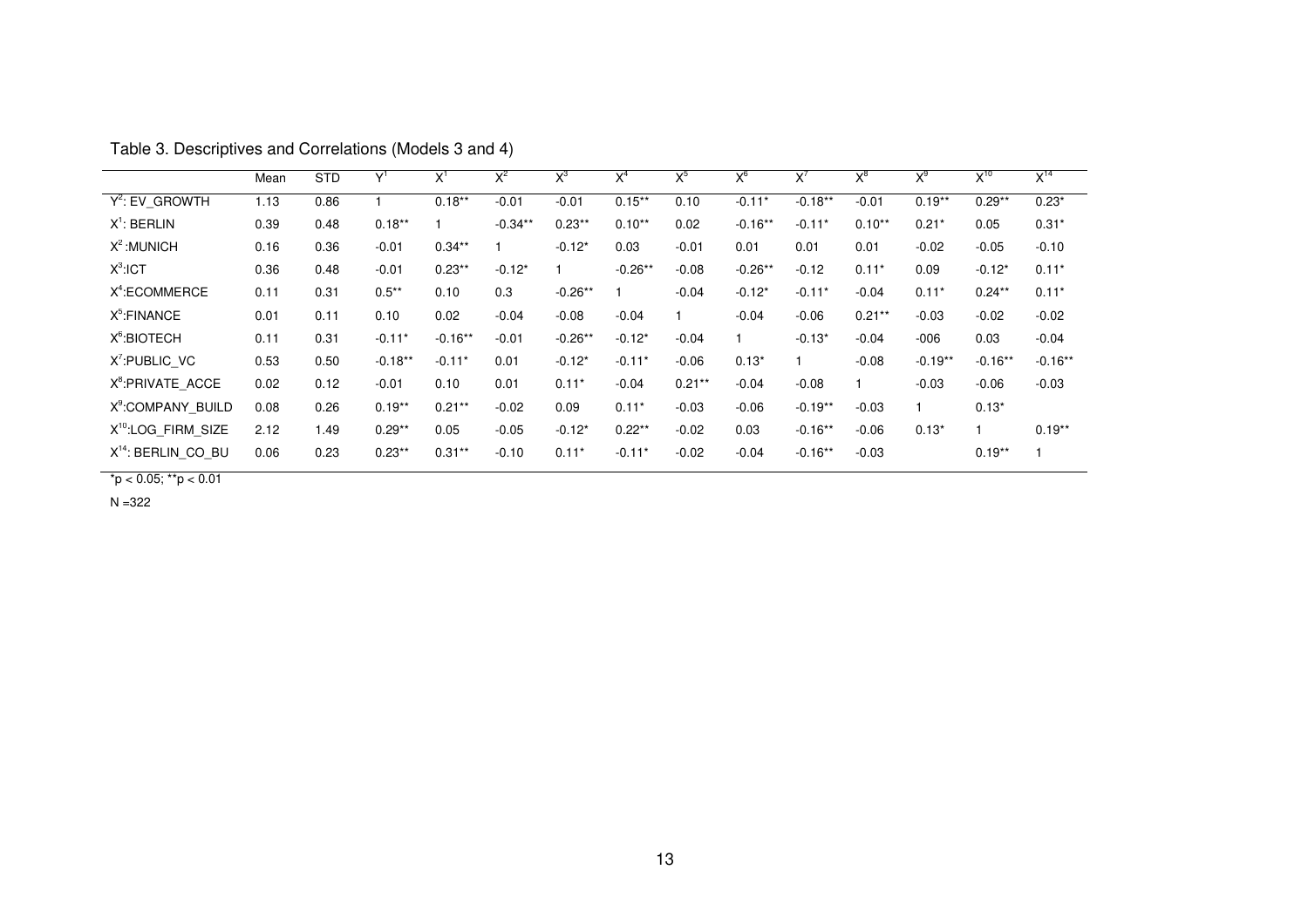|                               | Mean | <b>STD</b> | v         |           | $\overline{X}^2$ | $X^3$     | $X^4$     | $X^{\circ}$ | $\overline{X}^6$ | X.        | $\overline{X}^8$ | ΛA        | $X_{10}$  | $X^{14}$   |
|-------------------------------|------|------------|-----------|-----------|------------------|-----------|-----------|-------------|------------------|-----------|------------------|-----------|-----------|------------|
| $Y^2$ : EV GROWTH             | 1.13 | 0.86       |           | $0.18***$ | $-0.01$          | $-0.01$   | $0.15***$ | 0.10        | $-0.11*$         | $-0.18**$ | $-0.01$          | $0.19**$  | $0.29**$  | $0.23*$    |
| $X^1$ : BERLIN                | 0.39 | 0.48       | $0.18***$ |           | $-0.34***$       | $0.23***$ | $0.10**$  | 0.02        | $-0.16**$        | $-0.11*$  | $0.10**$         | $0.21*$   | 0.05      | $0.31*$    |
| $X^2$ : MUNICH                | 0.16 | 0.36       | $-0.01$   | $0.34***$ |                  | $-0.12*$  | 0.03      | $-0.01$     | 0.01             | 0.01      | 0.01             | $-0.02$   | $-0.05$   | $-0.10$    |
| $X^3$ :ICT                    | 0.36 | 0.48       | $-0.01$   | $0.23***$ | $-0.12*$         |           | $-0.26**$ | $-0.08$     | $-0.26**$        | $-0.12$   | $0.11*$          | 0.09      | $-0.12*$  | $0.11*$    |
| $X^4$ : ECOMMERCE             | 0.11 | 0.31       | $0.5***$  | 0.10      | 0.3              | $-0.26**$ |           | $-0.04$     | $-0.12*$         | $-0.11*$  | $-0.04$          | $0.11*$   | $0.24***$ | $0.11*$    |
| $X^5$ : FINANCE               | 0.01 | 0.11       | 0.10      | 0.02      | $-0.04$          | $-0.08$   | $-0.04$   |             | $-0.04$          | $-0.06$   | $0.21***$        | $-0.03$   | $-0.02$   | $-0.02$    |
| X <sup>6</sup> :BIOTECH       | 0.11 | 0.31       | $-0.11*$  | $-0.16**$ | $-0.01$          | $-0.26**$ | $-0.12*$  | $-0.04$     |                  | $-0.13*$  | $-0.04$          | $-006$    | 0.03      | $-0.04$    |
| X <sup>7</sup> :PUBLIC VC     | 0.53 | 0.50       | $-0.18**$ | $-0.11*$  | 0.01             | $-0.12*$  | $-0.11*$  | $-0.06$     | $0.13*$          |           | $-0.08$          | $-0.19**$ | $-0.16**$ | $-0.16***$ |
| X <sup>8</sup> :PRIVATE ACCE  | 0.02 | 0.12       | $-0.01$   | 0.10      | 0.01             | $0.11*$   | $-0.04$   | $0.21***$   | $-0.04$          | $-0.08$   |                  | $-0.03$   | $-0.06$   | $-0.03$    |
| X <sup>9</sup> :COMPANY BUILD | 0.08 | 0.26       | $0.19**$  | $0.21***$ | $-0.02$          | 0.09      | $0.11*$   | $-0.03$     | $-0.06$          | $-0.19**$ | $-0.03$          |           | $0.13*$   |            |
| $X^{10}$ : LOG FIRM SIZE      | 2.12 | 1.49       | $0.29**$  | 0.05      | $-0.05$          | $-0.12*$  | $0.22***$ | $-0.02$     | 0.03             | $-0.16**$ | $-0.06$          | $0.13*$   |           | $0.19**$   |
| $X14$ : BERLIN CO BU          | 0.06 | 0.23       | $0.23**$  | $0.31***$ | $-0.10$          | $0.11*$   | $-0.11*$  | $-0.02$     | $-0.04$          | $-0.16**$ | $-0.03$          |           | $0.19**$  |            |

Table 3. Descriptives and Correlations (Models 3 and 4)

 $*p < 0.05; **p < 0.01$ 

N =322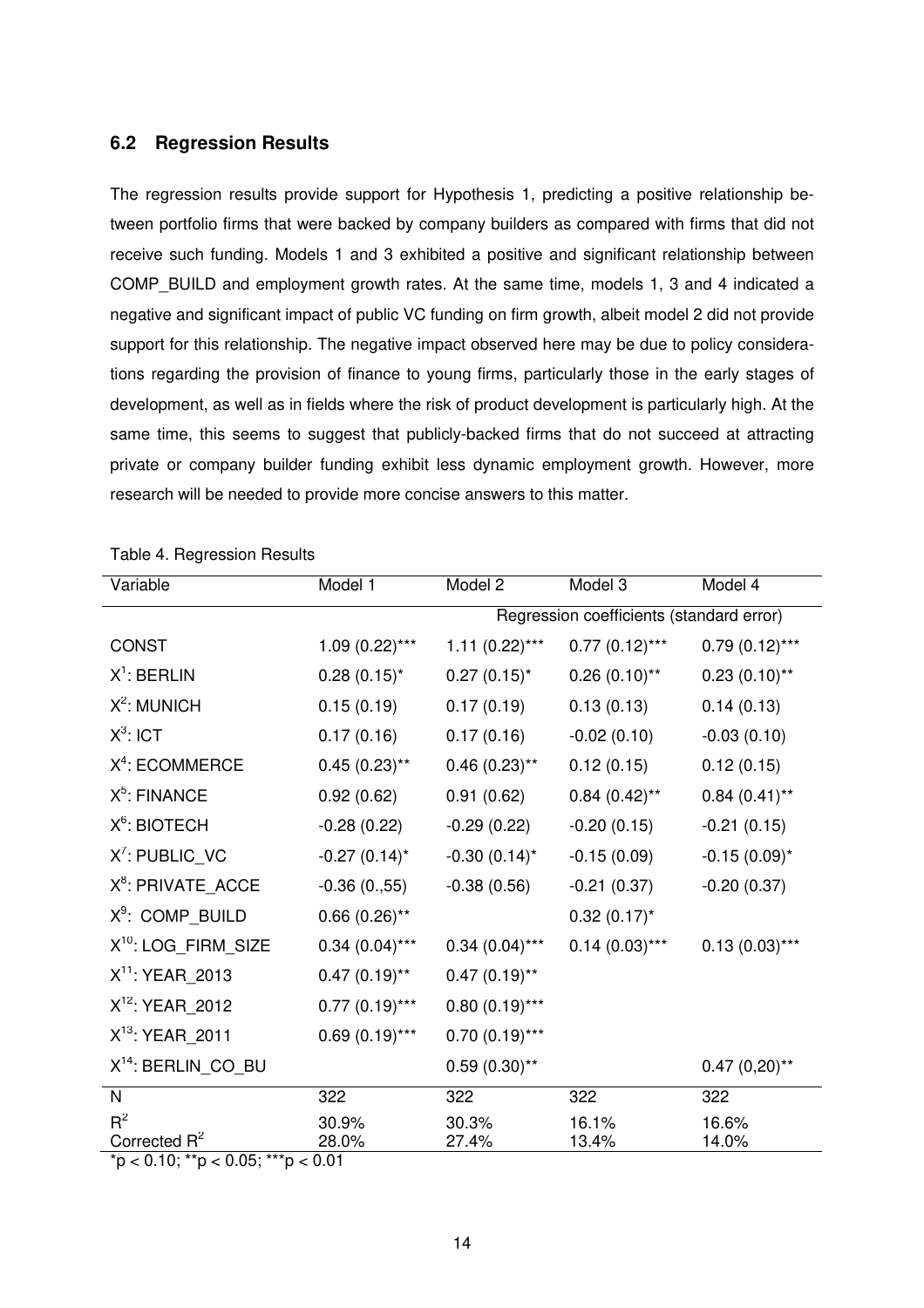#### **6.2 Regression Results**

The regression results provide support for Hypothesis 1, predicting a positive relationship between portfolio firms that were backed by company builders as compared with firms that did not receive such funding. Models 1 and 3 exhibited a positive and significant relationship between COMP\_BUILD and employment growth rates. At the same time, models 1, 3 and 4 indicated a negative and significant impact of public VC funding on firm growth, albeit model 2 did not provide support for this relationship. The negative impact observed here may be due to policy considerations regarding the provision of finance to young firms, particularly those in the early stages of development, as well as in fields where the risk of product development is particularly high. At the same time, this seems to suggest that publicly-backed firms that do not succeed at attracting private or company builder funding exhibit less dynamic employment growth. However, more research will be needed to provide more concise answers to this matter.

| Variable                      | Model 1          | Model 2           | Model 3                                  | Model 4           |  |  |  |  |
|-------------------------------|------------------|-------------------|------------------------------------------|-------------------|--|--|--|--|
|                               |                  |                   | Regression coefficients (standard error) |                   |  |  |  |  |
| <b>CONST</b>                  | $1.09(0.22)***$  | $1.11(0.22)***$   | $0.77(0.12)***$                          | $0.79(0.12)***$   |  |  |  |  |
| $X^1$ : BERLIN                | $0.28(0.15)^{*}$ | $0.27(0.15)^*$    | $0.26(0.10)$ **                          | $0.23(0.10)$ **   |  |  |  |  |
| $X^2$ : MUNICH                | 0.15(0.19)       | 0.17(0.19)        | 0.13(0.13)                               | 0.14(0.13)        |  |  |  |  |
| $X^3$ : ICT                   | 0.17(0.16)       | 0.17(0.16)        | $-0.02(0.10)$                            | $-0.03(0.10)$     |  |  |  |  |
| $X4$ : ECOMMERCE              | $0.45(0.23)$ **  | $0.46(0.23)$ **   | 0.12(0.15)                               | 0.12(0.15)        |  |  |  |  |
| $X^5$ : FINANCE               | 0.92(0.62)       | 0.91(0.62)        | $0.84(0.42)$ **                          | $0.84(0.41)$ **   |  |  |  |  |
| $X^6$ : BIOTECH               | $-0.28(0.22)$    | $-0.29(0.22)$     | $-0.20(0.15)$                            | $-0.21(0.15)$     |  |  |  |  |
| $X^7$ : PUBLIC_VC             | $-0.27(0.14)^*$  | $-0.30(0.14)^{*}$ | $-0.15(0.09)$                            | $-0.15(0.09)^{*}$ |  |  |  |  |
| X <sup>8</sup> : PRIVATE ACCE | $-0.36(0.,55)$   | $-0.38(0.56)$     | $-0.21(0.37)$                            | $-0.20(0.37)$     |  |  |  |  |
| $X^9$ : COMP_BUILD            | $0.66(0.26)$ **  |                   | $0.32(0.17)^{*}$                         |                   |  |  |  |  |
| $X^{10}$ : LOG FIRM SIZE      | $0.34(0.04)***$  | $0.34(0.04)$ ***  | $0.14(0.03)***$                          | $0.13(0.03)***$   |  |  |  |  |
| $X^{11}$ : YEAR 2013          | $0.47(0.19)$ **  | $0.47(0.19)$ **   |                                          |                   |  |  |  |  |
| $X^{12}$ : YEAR 2012          | $0.77(0.19)***$  | $0.80(0.19)$ ***  |                                          |                   |  |  |  |  |
| $X^{13}$ : YEAR 2011          | $0.69(0.19)$ *** | $0.70(0.19)***$   |                                          |                   |  |  |  |  |
| $X^{14}$ : BERLIN_CO_BU       |                  | $0.59(0.30)$ **   |                                          | $0.47(0,20)$ **   |  |  |  |  |
| N                             | 322              | 322               | 322                                      | 322               |  |  |  |  |
| $R^2$<br>Corrected $R^2$      | 30.9%<br>28.0%   | 30.3%<br>27.4%    | 16.1%<br>13.4%                           | 16.6%<br>14.0%    |  |  |  |  |

# Table 4. Regression Results

 $*p < 0.10$ ;  $*p < 0.05$ ;  $**p < 0.01$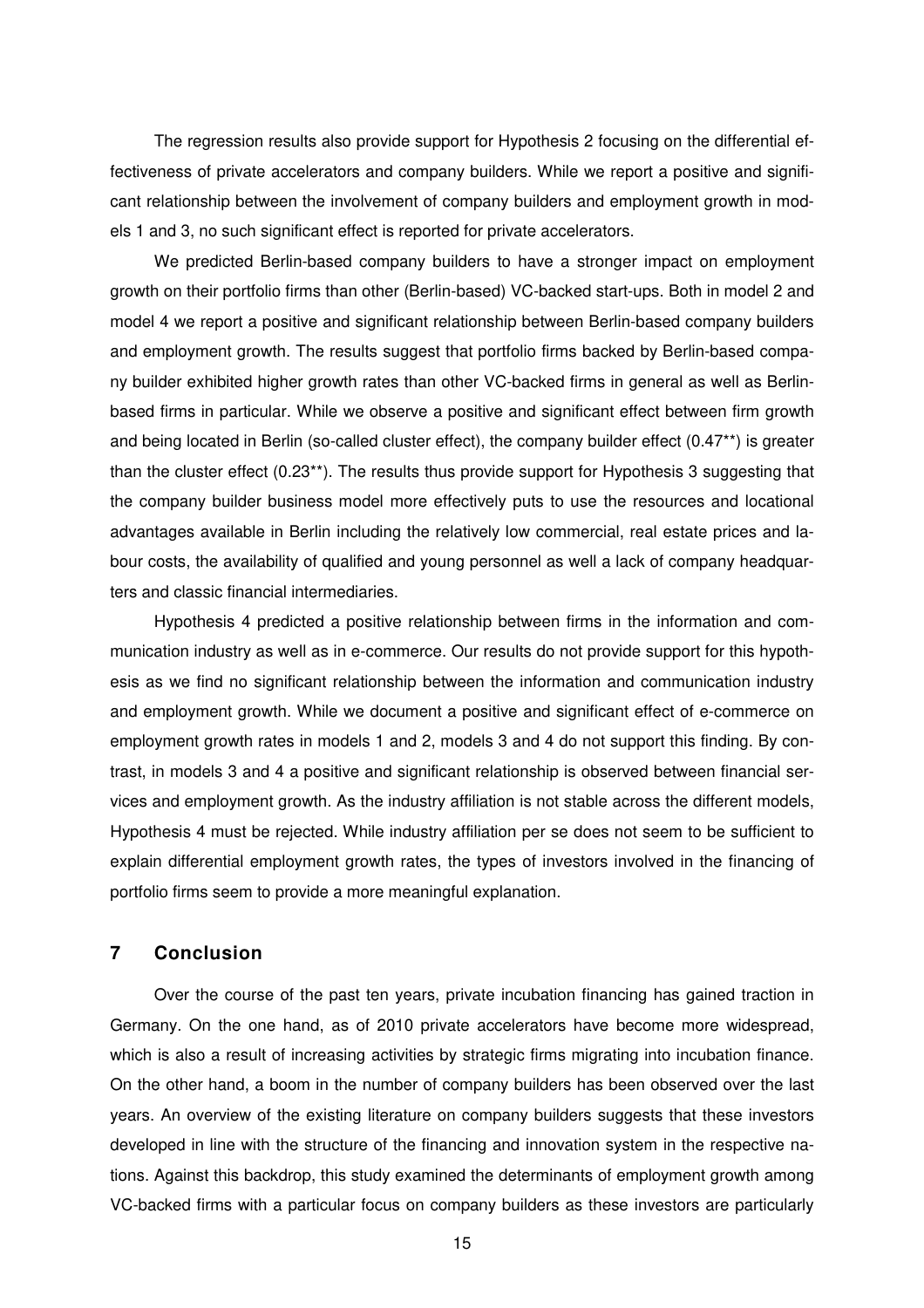The regression results also provide support for Hypothesis 2 focusing on the differential effectiveness of private accelerators and company builders. While we report a positive and significant relationship between the involvement of company builders and employment growth in models 1 and 3, no such significant effect is reported for private accelerators.

We predicted Berlin-based company builders to have a stronger impact on employment growth on their portfolio firms than other (Berlin-based) VC-backed start-ups. Both in model 2 and model 4 we report a positive and significant relationship between Berlin-based company builders and employment growth. The results suggest that portfolio firms backed by Berlin-based company builder exhibited higher growth rates than other VC-backed firms in general as well as Berlinbased firms in particular. While we observe a positive and significant effect between firm growth and being located in Berlin (so-called cluster effect), the company builder effect (0.47\*\*) is greater than the cluster effect (0.23\*\*). The results thus provide support for Hypothesis 3 suggesting that the company builder business model more effectively puts to use the resources and locational advantages available in Berlin including the relatively low commercial, real estate prices and labour costs, the availability of qualified and young personnel as well a lack of company headquarters and classic financial intermediaries.

Hypothesis 4 predicted a positive relationship between firms in the information and communication industry as well as in e-commerce. Our results do not provide support for this hypothesis as we find no significant relationship between the information and communication industry and employment growth. While we document a positive and significant effect of e-commerce on employment growth rates in models 1 and 2, models 3 and 4 do not support this finding. By contrast, in models 3 and 4 a positive and significant relationship is observed between financial services and employment growth. As the industry affiliation is not stable across the different models, Hypothesis 4 must be rejected. While industry affiliation per se does not seem to be sufficient to explain differential employment growth rates, the types of investors involved in the financing of portfolio firms seem to provide a more meaningful explanation.

# **7 Conclusion**

Over the course of the past ten years, private incubation financing has gained traction in Germany. On the one hand, as of 2010 private accelerators have become more widespread, which is also a result of increasing activities by strategic firms migrating into incubation finance. On the other hand, a boom in the number of company builders has been observed over the last years. An overview of the existing literature on company builders suggests that these investors developed in line with the structure of the financing and innovation system in the respective nations. Against this backdrop, this study examined the determinants of employment growth among VC-backed firms with a particular focus on company builders as these investors are particularly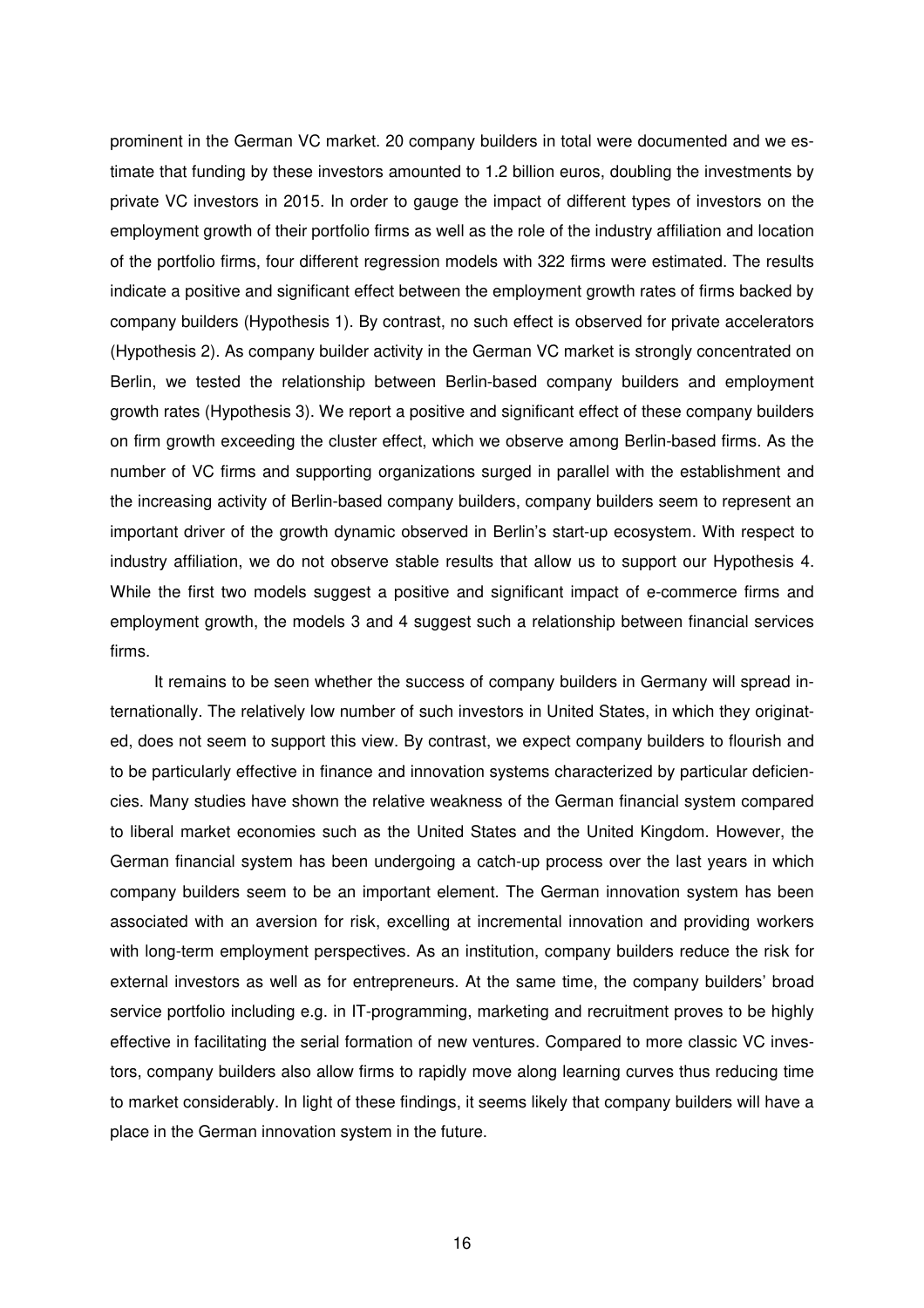prominent in the German VC market. 20 company builders in total were documented and we estimate that funding by these investors amounted to 1.2 billion euros, doubling the investments by private VC investors in 2015. In order to gauge the impact of different types of investors on the employment growth of their portfolio firms as well as the role of the industry affiliation and location of the portfolio firms, four different regression models with 322 firms were estimated. The results indicate a positive and significant effect between the employment growth rates of firms backed by company builders (Hypothesis 1). By contrast, no such effect is observed for private accelerators (Hypothesis 2). As company builder activity in the German VC market is strongly concentrated on Berlin, we tested the relationship between Berlin-based company builders and employment growth rates (Hypothesis 3). We report a positive and significant effect of these company builders on firm growth exceeding the cluster effect, which we observe among Berlin-based firms. As the number of VC firms and supporting organizations surged in parallel with the establishment and the increasing activity of Berlin-based company builders, company builders seem to represent an important driver of the growth dynamic observed in Berlin's start-up ecosystem. With respect to industry affiliation, we do not observe stable results that allow us to support our Hypothesis 4. While the first two models suggest a positive and significant impact of e-commerce firms and employment growth, the models 3 and 4 suggest such a relationship between financial services firms.

It remains to be seen whether the success of company builders in Germany will spread internationally. The relatively low number of such investors in United States, in which they originated, does not seem to support this view. By contrast, we expect company builders to flourish and to be particularly effective in finance and innovation systems characterized by particular deficiencies. Many studies have shown the relative weakness of the German financial system compared to liberal market economies such as the United States and the United Kingdom. However, the German financial system has been undergoing a catch-up process over the last years in which company builders seem to be an important element. The German innovation system has been associated with an aversion for risk, excelling at incremental innovation and providing workers with long-term employment perspectives. As an institution, company builders reduce the risk for external investors as well as for entrepreneurs. At the same time, the company builders' broad service portfolio including e.g. in IT-programming, marketing and recruitment proves to be highly effective in facilitating the serial formation of new ventures. Compared to more classic VC investors, company builders also allow firms to rapidly move along learning curves thus reducing time to market considerably. In light of these findings, it seems likely that company builders will have a place in the German innovation system in the future.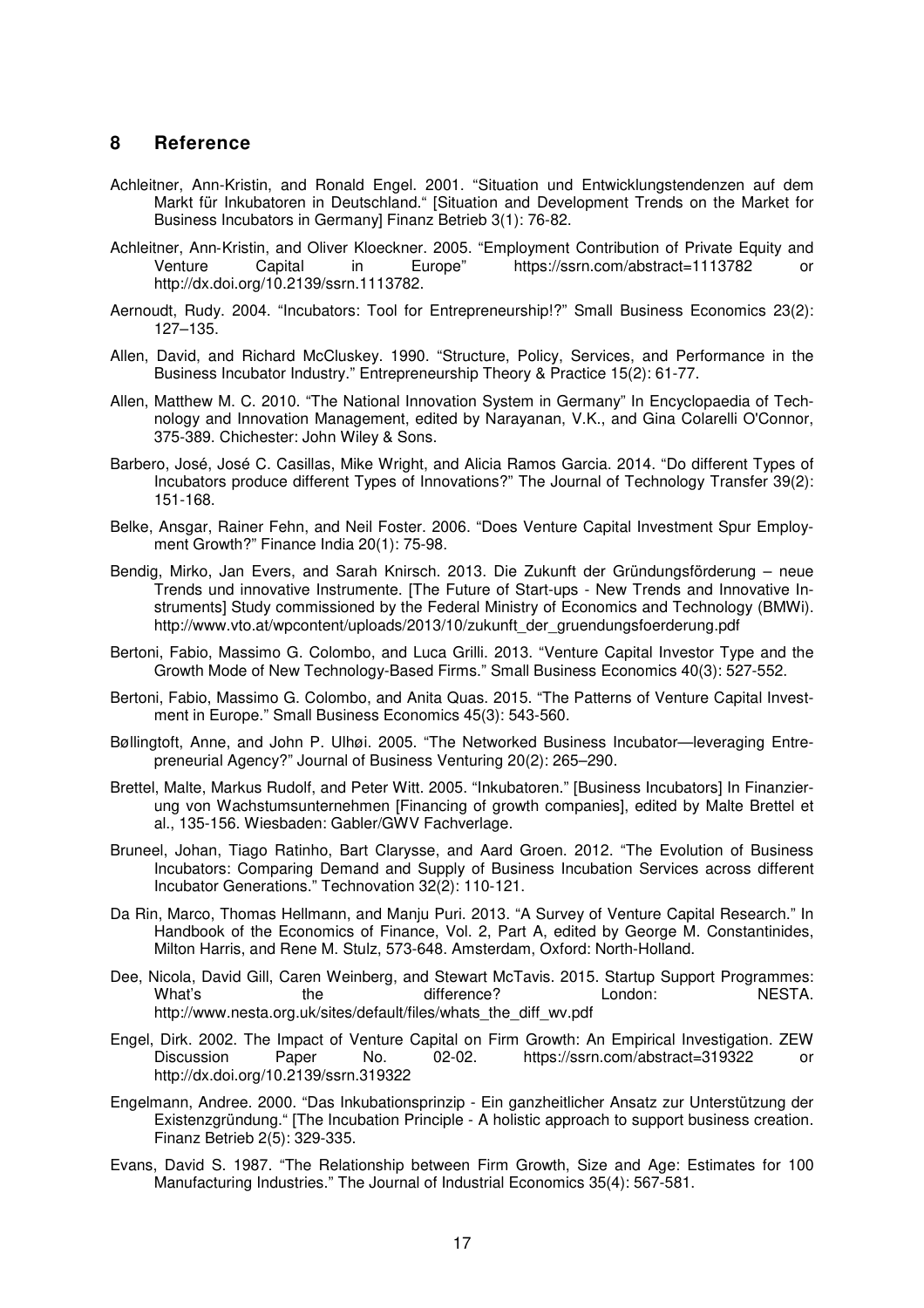# **8 Reference**

- Achleitner, Ann-Kristin, and Ronald Engel. 2001. "Situation und Entwicklungstendenzen auf dem Markt für Inkubatoren in Deutschland." [Situation and Development Trends on the Market for Business Incubators in Germany] Finanz Betrieb 3(1): 76-82.
- Achleitner, Ann-Kristin, and Oliver Kloeckner. 2005. "Employment Contribution of Private Equity and<br>Venture Capital in Europe" https://ssrn.com/abstract=1113782 or in Europe" https://ssrn.com/abstract=1113782 or http://dx.doi.org/10.2139/ssrn.1113782.
- Aernoudt, Rudy. 2004. "Incubators: Tool for Entrepreneurship!?" Small Business Economics 23(2): 127–135.
- Allen, David, and Richard McCluskey. 1990. "Structure, Policy, Services, and Performance in the Business Incubator Industry." Entrepreneurship Theory & Practice 15(2): 61-77.
- Allen, Matthew M. C. 2010. "The National Innovation System in Germany" In Encyclopaedia of Technology and Innovation Management, edited by Narayanan, V.K., and Gina Colarelli O'Connor, 375-389. Chichester: John Wiley & Sons.
- Barbero, José, José C. Casillas, Mike Wright, and Alicia Ramos Garcia. 2014. "Do different Types of Incubators produce different Types of Innovations?" The Journal of Technology Transfer 39(2): 151-168.
- Belke, Ansgar, Rainer Fehn, and Neil Foster. 2006. "Does Venture Capital Investment Spur Employment Growth?" Finance India 20(1): 75-98.
- Bendig, Mirko, Jan Evers, and Sarah Knirsch. 2013. Die Zukunft der Gründungsförderung neue Trends und innovative Instrumente. [The Future of Start-ups - New Trends and Innovative Instruments] Study commissioned by the Federal Ministry of Economics and Technology (BMWi). http://www.vto.at/wpcontent/uploads/2013/10/zukunft\_der\_gruendungsfoerderung.pdf
- Bertoni, Fabio, Massimo G. Colombo, and Luca Grilli. 2013. "Venture Capital Investor Type and the Growth Mode of New Technology-Based Firms." Small Business Economics 40(3): 527-552.
- Bertoni, Fabio, Massimo G. Colombo, and Anita Quas. 2015. "The Patterns of Venture Capital Investment in Europe." Small Business Economics 45(3): 543-560.
- Bøllingtoft, Anne, and John P. Ulhøi. 2005. "The Networked Business Incubator—leveraging Entrepreneurial Agency?" Journal of Business Venturing 20(2): 265–290.
- Brettel, Malte, Markus Rudolf, and Peter Witt. 2005. "Inkubatoren." [Business Incubators] In Finanzierung von Wachstumsunternehmen [Financing of growth companies], edited by Malte Brettel et al., 135-156. Wiesbaden: Gabler/GWV Fachverlage.
- Bruneel, Johan, Tiago Ratinho, Bart Clarysse, and Aard Groen. 2012. "The Evolution of Business Incubators: Comparing Demand and Supply of Business Incubation Services across different Incubator Generations." Technovation 32(2): 110-121.
- Da Rin, Marco, Thomas Hellmann, and Manju Puri. 2013. "A Survey of Venture Capital Research." In Handbook of the Economics of Finance, Vol. 2, Part A, edited by George M. Constantinides, Milton Harris, and Rene M. Stulz, 573-648. Amsterdam, Oxford: North-Holland.
- Dee, Nicola, David Gill, Caren Weinberg, and Stewart McTavis. 2015. Startup Support Programmes:<br>Mhat's the difference? London: NESTA. What's the difference? London: NESTA. http://www.nesta.org.uk/sites/default/files/whats\_the\_diff\_wv.pdf
- Engel, Dirk. 2002. The Impact of Venture Capital on Firm Growth: An Empirical Investigation. ZEW<br>Discussion Paper No. 02-02. https://ssrn.com/abstract=319322 or No. 02-02. https://ssrn.com/abstract=319322 or http://dx.doi.org/10.2139/ssrn.319322
- Engelmann, Andree. 2000. "Das Inkubationsprinzip Ein ganzheitlicher Ansatz zur Unterstützung der Existenzgründung." [The Incubation Principle - A holistic approach to support business creation. Finanz Betrieb 2(5): 329-335.
- Evans, David S. 1987. "The Relationship between Firm Growth, Size and Age: Estimates for 100 Manufacturing Industries." The Journal of Industrial Economics 35(4): 567-581.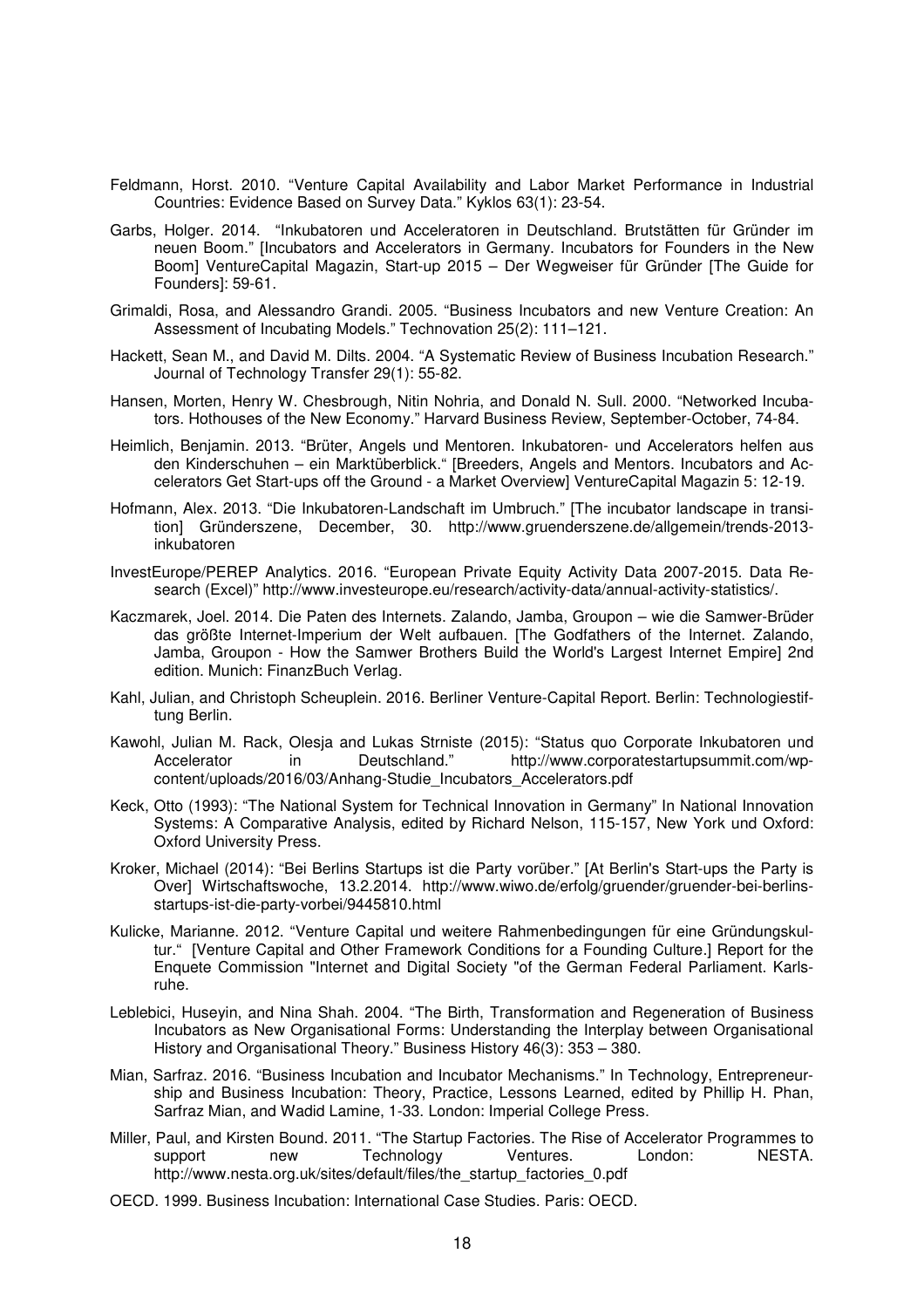- Feldmann, Horst. 2010. "Venture Capital Availability and Labor Market Performance in Industrial Countries: Evidence Based on Survey Data." Kyklos 63(1): 23-54.
- Garbs, Holger. 2014. "Inkubatoren und Acceleratoren in Deutschland. Brutstätten für Gründer im neuen Boom." [Incubators and Accelerators in Germany. Incubators for Founders in the New Boom] VentureCapital Magazin, Start-up 2015 – Der Wegweiser für Gründer [The Guide for Founders]: 59-61.
- Grimaldi, Rosa, and Alessandro Grandi. 2005. "Business Incubators and new Venture Creation: An Assessment of Incubating Models." Technovation 25(2): 111–121.
- Hackett, Sean M., and David M. Dilts. 2004. "A Systematic Review of Business Incubation Research." Journal of Technology Transfer 29(1): 55-82.
- Hansen, Morten, Henry W. Chesbrough, Nitin Nohria, and Donald N. Sull. 2000. "Networked Incubators. Hothouses of the New Economy." Harvard Business Review, September-October, 74-84.
- Heimlich, Benjamin. 2013. "Brüter, Angels und Mentoren. Inkubatoren- und Accelerators helfen aus den Kinderschuhen – ein Marktüberblick." [Breeders, Angels and Mentors. Incubators and Accelerators Get Start-ups off the Ground - a Market Overview] VentureCapital Magazin 5: 12-19.
- Hofmann, Alex. 2013. "Die Inkubatoren-Landschaft im Umbruch." [The incubator landscape in transition] Gründerszene, December, 30. http://www.gruenderszene.de/allgemein/trends-2013 inkubatoren
- InvestEurope/PEREP Analytics. 2016. "European Private Equity Activity Data 2007-2015. Data Research (Excel)" http://www.investeurope.eu/research/activity-data/annual-activity-statistics/.
- Kaczmarek, Joel. 2014. Die Paten des Internets. Zalando, Jamba, Groupon wie die Samwer-Brüder das größte Internet-Imperium der Welt aufbauen. [The Godfathers of the Internet. Zalando, Jamba, Groupon - How the Samwer Brothers Build the World's Largest Internet Empire] 2nd edition. Munich: FinanzBuch Verlag.
- Kahl, Julian, and Christoph Scheuplein. 2016. Berliner Venture-Capital Report. Berlin: Technologiestiftung Berlin.
- Kawohl, Julian M. Rack, Olesja and Lukas Strniste (2015): "Status quo Corporate Inkubatoren und<br>Accelerator in Deutschland." http://www.corporatestartupsummit.com/wp-Accelerator in Deutschland." http://www.corporatestartupsummit.com/wpcontent/uploads/2016/03/Anhang-Studie\_Incubators\_Accelerators.pdf
- Keck, Otto (1993): "The National System for Technical Innovation in Germany" In National Innovation Systems: A Comparative Analysis, edited by Richard Nelson, 115-157, New York und Oxford: Oxford University Press.
- Kroker, Michael (2014): "Bei Berlins Startups ist die Party vorüber." [At Berlin's Start-ups the Party is Over] Wirtschaftswoche, 13.2.2014. http://www.wiwo.de/erfolg/gruender/gruender-bei-berlinsstartups-ist-die-party-vorbei/9445810.html
- Kulicke, Marianne. 2012. "Venture Capital und weitere Rahmenbedingungen für eine Gründungskultur." [Venture Capital and Other Framework Conditions for a Founding Culture.] Report for the Enquete Commission "Internet and Digital Society "of the German Federal Parliament. Karlsruhe.
- Leblebici, Huseyin, and Nina Shah. 2004. "The Birth, Transformation and Regeneration of Business Incubators as New Organisational Forms: Understanding the Interplay between Organisational History and Organisational Theory." Business History 46(3): 353 – 380.
- Mian, Sarfraz. 2016. "Business Incubation and Incubator Mechanisms." In Technology, Entrepreneurship and Business Incubation: Theory, Practice, Lessons Learned, edited by Phillip H. Phan, Sarfraz Mian, and Wadid Lamine, 1-33. London: Imperial College Press.
- Miller, Paul, and Kirsten Bound. 2011. "The Startup Factories. The Rise of Accelerator Programmes to<br>Support new Technology Ventures. London: NESTA. support new Technology http://www.nesta.org.uk/sites/default/files/the\_startup\_factories\_0.pdf
- OECD. 1999. Business Incubation: International Case Studies. Paris: OECD.